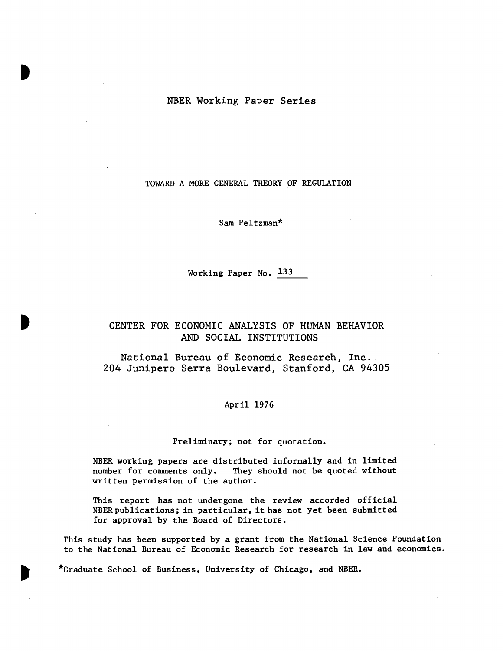# NBER Working Paper Series

TOWARD A MORE GENERAL THEORY OF REGULATION

Sam Peltzman\*

Working Paper No. 133

# CENTER FOR ECONOMIC ANALYSIS OF HUMAN BEHAVIOR AND SOCIAL INSTITUTIONS

National Bureau of Economic Research, Inc. 204 Junipero Serra Boulevard, Stanford, CA 94305

## April 1976

#### Preliminary; not for quotation.

NBER working papers are distributed informally and in limited number for comments only. They should not be quoted without written permission of the author.

This report has not undergone the review accorded official NBER publications; in particular, it has not yet been submitted for approval by the Board of Directors.

This study has been supported by a grant from the National Science Foundation to the National Bureau of Economic Research for research in law and economics.

\*Graduate School of Business, University of Chicago, and NBER.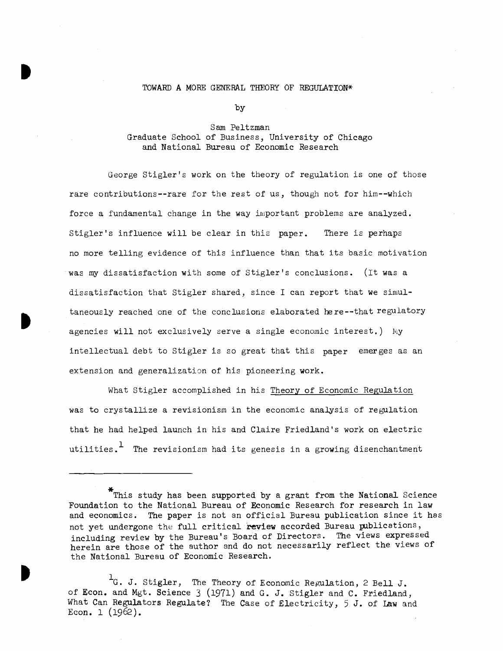### TOWARD A MORE GENERAL THEORY OF REGULATION\*

by

### Sam Peltzman Graduate School of Business, University of Chicago and National Bureau of Economic Research

George Stigler's work on the theory of regulation is one of those rare contributions--rare for the rest of us, though not for him-—which force a fundamental change in the way important problems are analyzed. Stigler's influence will be clear in this paper. There is perhaps no more telling evidence of this influence than that its basic motivation was my dissatisfaction with some of Stigler's conclusions. (it was a dissatisfaction that Stigler shared, since I can report that we simultaneously reached one of the conclusions elaborated here--that regulatory agencies will not exclusively serve a single economic interest.) My intellectual debt to Stigler is so great that this paper emerges as an extension and generalization of his pioneering work.

What Stigler accomplished in his Theory of Economic Regulation was to crystallize a revisionism in the economic analysis of regulation that he had helped launch in his and Claire Friedland's work on electric utilities. $<sup>1</sup>$  The revisionism had its genesis in a growing disenchantment</sup>

<sup>\*</sup>This study has been supported by a grant from the National Science Foundation to the National Bureau of Economic Research for research in law and economics. The paper is not an official Bureau publication since it has not yet undergone the full critical review accorded Bureau publications, including review by the Bureau's Board of Directors. The views expressed herein are those of the author and do not necessarily reflect the views of the National Bureau of Economic Research.

 $^{1}$ G. J. Stigler, The Theory of Economic Regulation, 2 Bell J. of Econ. and Mgt. Science 3 (1971) and G. J. Stigler and C. Friedland, What Can Regulators Regulate? The Case of Electricity, 5 J. of Law and Econ. 1 (1962).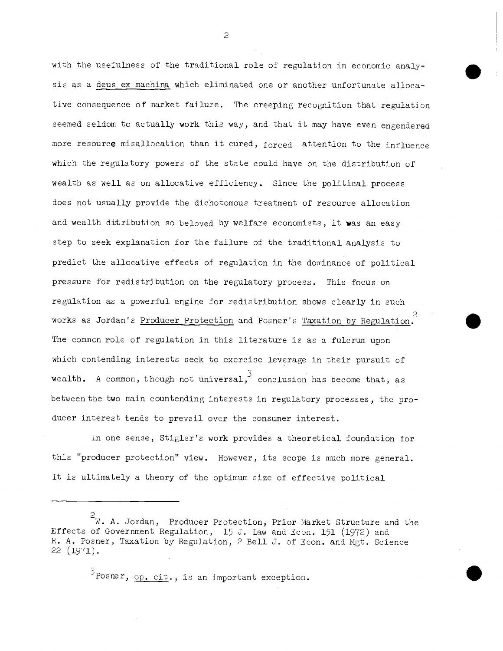with the usefulness of the traditional role of regulation in economic analysis as a deus ex machina which eliminated one or another unfortunate allocative consequence of market failure. The creeping recognition that regulation seemed seldom to actually work this way, and that it may have even engendered more resource misallocation than it cured, forced attention to the influence which the regulatory powers of the state could have on the distribution of wealth as well as on allocative efficiency. Since the political process does not usually provide the dichotomous treatment of resource allocation and wealth distribution so beloved by welfare economists, it was an easy step to seek explanation for the failure of the traditional analysis to predict the allocative effects of regulation in the dominance of political pressure for redistribution on the regulatory process. This focus on regulation as a powerful engine for redistribution shows clearly in such works as Jordan's Producer Protection and Posner's Taxation by Regulation. The common role of regulation in this literature is as a fulcrum upon which contending interests seek to exercise leverage in their pursuit of wealth. A common, though not universal, conclusion has become that, as between the two main countending interests in regulatory processes, the producer interest tends to prevail over the consumer interest.

In one sense, Stigler's work provides a theoretical foundation for this "producer protection" view. However, its scope is much more general. It is ultimately a theory of the optimum size of effective political

 $3$ Posner, op. cit., is an important exception.

<sup>2</sup> W. A. Jordan, Producer Protection, Prior Market Structure and the Effects of Government Regulation, 15 J. Law and Econ. 151 (1972) and R. A. Posner, Taxation by Regulation, 2 Bell J. of Econ. and Mgt. Science 22 (1971).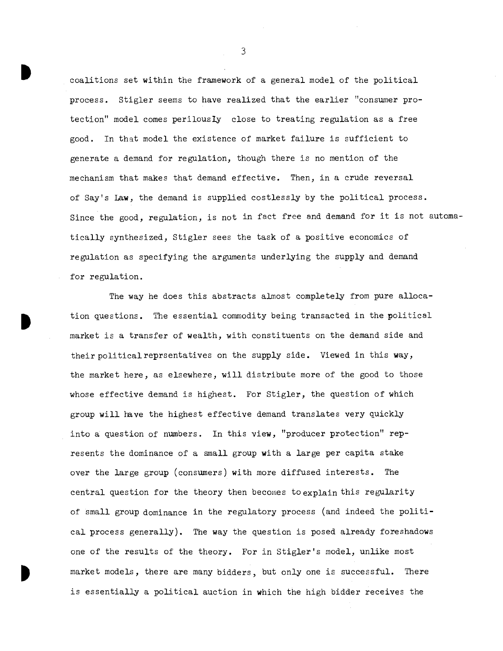coalitions set within the framework of a general model of the political process. Stigler seems to have realized that the earlier "consumer protection" model comes perilously close to treating regulation as a free good. In that model the existence of market failure is sufficient to generate a demand for regulation, though there is no mention of the mechanism that makes that demand effective. Then, in a crude reversal of Say's Law, the demand is supplied costlessly by the political process. Since the good, regulation, is not in fact free and demand for it is not automatically synthesized, Stigler sees the task of a positive economics of regulation as specifying the arguments underlying the supply and demand for regulation.

The way he does this abstracts almost completely from pure allocation questions. The essential commodity being transacted in the political market is a transfer of wealth, with constituents on the demand side and their political reprsentatives on the supply side. Viewed in this way, the market here, as elsewhere, will distribute more of the good to those whose effective demand is highest. For Stigler, the question of which group will lave the highest effective demand translates very quickly into a question of numbers. In this view, "producer protection" represents the dominance of a small group with a large per capita stake over the large group (consumers) with more diffused interests. The central question for the theory then becomes to explain this regularity of small group dominance in the regulatory process (and indeed the political process generally). The way the question is posed already foreshadows one of the results of the theory. For in Stigler's model, unlike most market models, there are many bidders, but only one is successful. There is essentially a political auction in which the high bidder receives the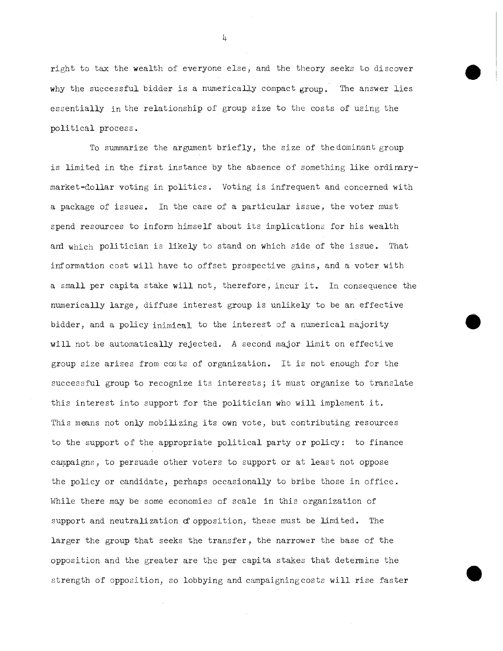right to tax the wealth of everyone else, and the theory seeks to discover why the successful bidder is a numerically compact group. The answer lies essentially in the relationship of group size to the costs of using the political process.

To summarize the argument briefly, the size of the dominant group is limited in the first instance by the absence of something like ordinarymarket-dollar voting in politics. Voting is infrequent and concerned with a package of issues. In the case of a particular issue, the voter must spend resources to inform himself about its implications for his wealth and which politician is likely to stand on which side of the issue. That information cost will have to offset prospective gains, and a voter with a small per capita stake will not, therefore, incur it. In consequence the numerically large, diffuse interest group is unlikely to be an effective bidder, and a policy inimical to the interest of a numerical majority will not be automatically rejected. A second major limit on effective group size arises from costs of organization. It is not enough for the successful group to recognize its interests; it must organize to translate this interest into support for the politician who will implement it. This means not only mobilizing its own vote, but contributing resources to the support of the appropriate political party or policy: to finance campaigns, to persuade other voters to support or at least not oppose the policy or candidate, perhaps occasionally to bribe those in office. While there may be some economies of scale in this organization of support and neutralization of opposition, these must be limited. The larger the group that seeks the transfer, the narrower the base of the opposition and the greater are the per capita stakes that determine the strength of opposition, so lobbying and campaigning costs will rise faster

 $\frac{1}{4}$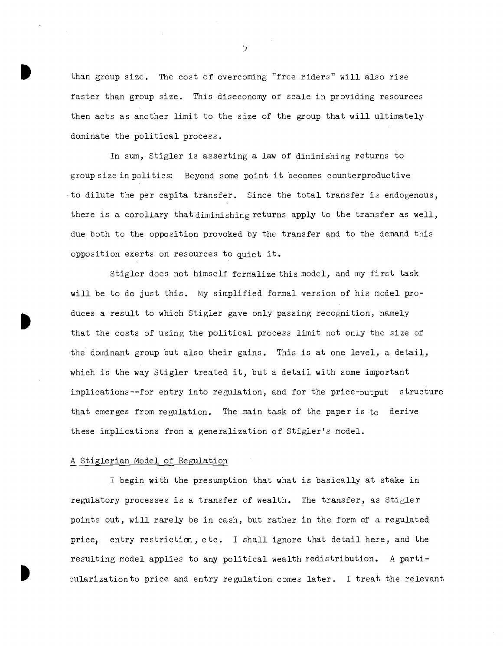than group size. The cost of overcoming "free riders" will also rise faster than group size. This diseconomy of scale in providing resources then acts as another limit to the size of the group that will ultimately dominate the political process.

In sum, Stigler is asserting a law of diminishing returns to group size in politics: Beyond some point it becomes counterproductive to dilute the per capita transfer. Since the total transfer is endogenous, there is a corollary that diminishing returns apply to the transfer as well, due both to the opposition provoked by the transfer and to the demand this opposition exerts on resources to quiet it.

Stigler does not himself rormalize this model, and my first task will be to do just this. My simplified formal version of his model produces a result to which Stigler gave only passing recognition, namely that the costs of using the political process limit not only the size of the dominant group but also their gains. This is at one level, a detail, which is the way Stigler treated it, but a detail with some important implications--for entry into regulation, and for the price-output structure that emerges from regulation. The main task of the paper is  $t_0$  derive these implications from a generalization of Stigler's model.

#### A Stiglerian Model of Regulation

I begin with the presumption that what is basically at stake in regulatory processes is a transfer of wealth. The transfer, as Stigler points out, will rarely be in cash, but rather in the form of a regulated price, entry restriction, etc. I shall ignore that detail here, and the resulting model applies to any political wealth redistribution. A particularizationto price and entry regulation comes later. I treat the relevant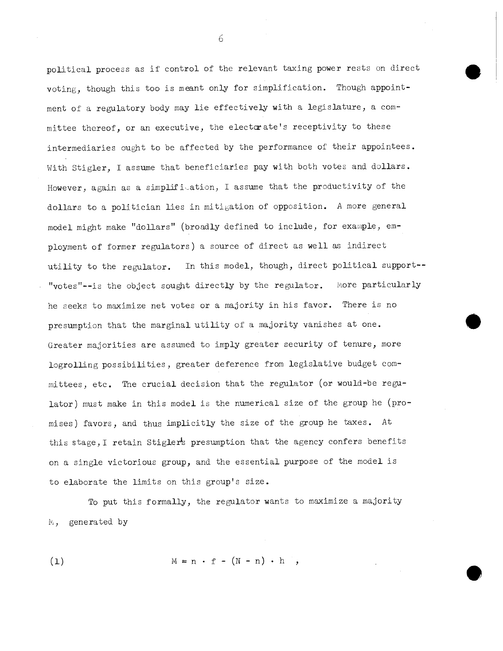political process as if control of the relevant taxing power rests on direct voting, though this too is meant only for simplification. Though appointment of a regulatory body may lie effectively with a legislature, a committee thereof, or an executive, the electorate's receptivity to these intermediaries ought to be affected by the performance of their appointees. With Stigler, I assume that beneficiaries pay with both votes and dollars. However, again as a simplification, I assume that the productivity of the dollars to a politician lies in mitigation of opposition. A more general model might make "dollars" (broadly defined to include, for example, employment of former regulators) a source of direct as well as indirect utility to the regulator. In this model, though, direct political support-- "votes"--is the object sought directly by the regulator. More particularly he seeks to maximize net votes or a majority in his favor. There is no presumption that the marginal utility of a majority vanishes at one. Greater majorities are assumed to imply greater security of tenure, more logrolling possibilities, greater deference from legislative budget committees, etc. The crucial decision that the regulator (or would-be regulator) must make in this model is the numerical size of the group he (promises) favors, and thus implicitly the size of the group he taxes. At this stage, I retain Stiglers presumption that the agency confers benefits on a single victorious group, and the essential purpose of the model is to elaborate the limits on this group's size.

To put this formally, the regulator wants to maximize a majority  $M<sub>1</sub>$ , generated by

(1) 
$$
M = n \cdot f - (N - n) \cdot h
$$
,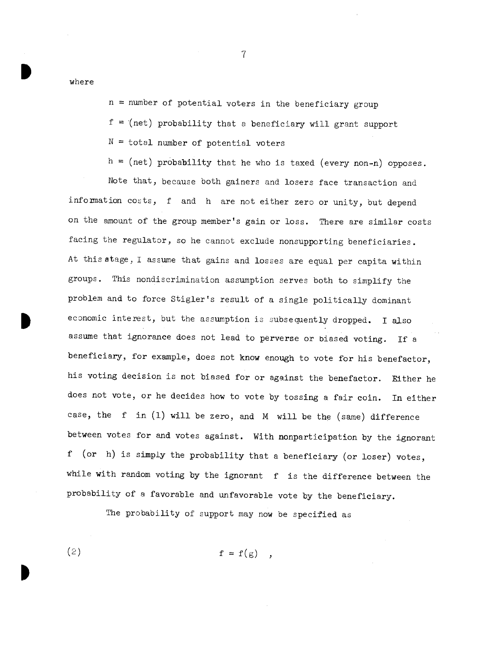where

 $n = number of potential voters in the benefitiary group$ 

 $f = (net)$  probability that a beneficiary will grant support  $N =$  total number of potential voters

 $h = (net)$  probability that he who is taxed (every non-n) opposes. Note that, because both gainers and losers face transaction and information costs, f and h are not either zero or unity, but depend on the amount of the group member's gain or loss. There are similar costs facing the regulator, so he cannot exclude nonsupporting beneficiaries. At this stage, I assume that gains and losses are equal per capita within groups. This nondiscrimination assumption serves both to simplify the problem and to force Stigler's result of a single politically dominant economic interest, but the assumption is subsequently dropped. I also assume that ignorance does not lead to perverse or biased voting. If a beneficiary, for example, does not know enough to vote for his benefactor, his voting decision is not biased for or against the benefactor. Either he does not vote, or he decides how to vote by tossing a fair coin. In either case, the f in (1) will be zero, and M will be the (same) difference between votes for and votes against. With nonparticipation by the ignorant f (or h) is simply the probability that a beneficiary (or loser) votes, while with random voting by the ignorant  $f$  is the difference between the probability of a favorable and unfavorable vote by the beneficiary.

The probability of support may now be specified as

(2)  $f = f(g)$ ,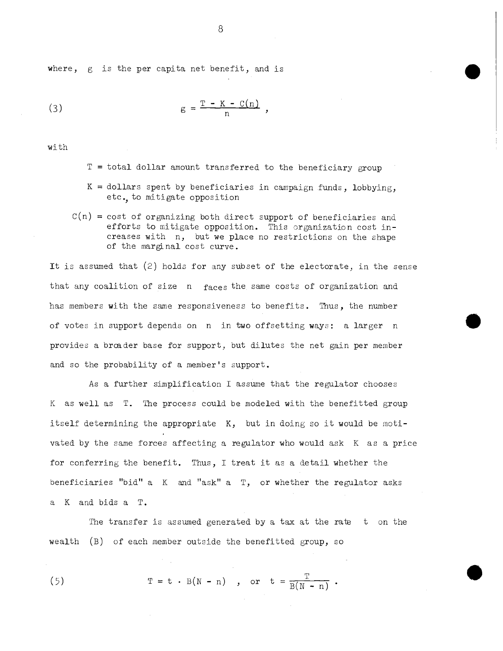where, g is the per capita net benefit, and is

$$
g = \frac{T - K - C(n)}{n},
$$

with

- $T =$  total dollar amount transferred to the beneficiary group
- $K =$  dollars spent by beneficiaries in campaign funds, lobbying, etc., to mitigate opposition
- $C(n)$  = cost of organizing both direct support of beneficiaries and efforts to mitigate opposition. This organization cost increases with n, but we place no restrictions on the shape of the marginal cost curve.

It is assumed that  $(2)$  holds for any subset of the electorate, in the sense that any coalition of size n faces the same costs of organization and has members with the same responsiveness to benefits. Thus, the number of votes in support depends on n in two offsetting ways: a larger n provides a broader base for support, but dilutes the net gain per member and so the probability of a member's support.

As a further simplification I assume that the regulator chooses K as well as T. The process could be modeled with the benefitted group itself determining the appropriate K, but in doing so it would be motivated by the same forces affecting a regulator who would ask K as a price for conferring the benefit. Thus, I treat it as a detail whether the beneficiaries "bid" a K and "ask" a T, or whether the regulator asks a K and bids a T.

The transfer is assumed generated by a tax at the rate  $t$  on the wealth (B) of each member outside the benefitted group, so

(5) 
$$
T = t \cdot B(N - n) \quad , \text{ or } t = \frac{T}{B(N - n)} \; .
$$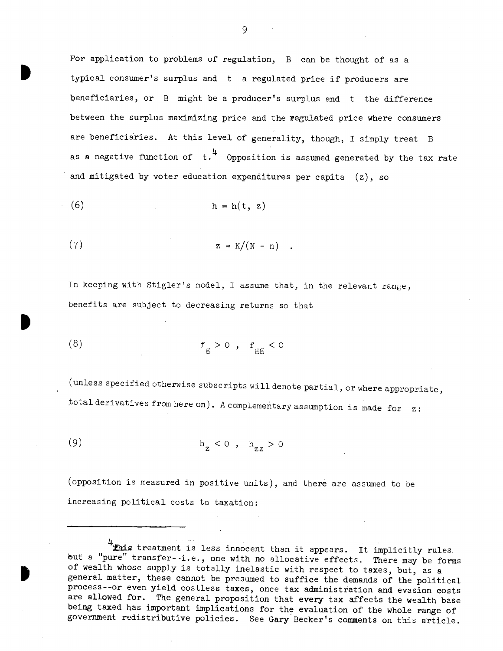For application to problems of regulation, B can be thought of as a typical consumer's surplus and t a regulated price if producers are beneficiaries, or B might be a producer's surplus and t the difference between the surplus maximizing price and the regulated price where consumers are beneficiaries. At this level of generality, though, I simply treat B as a negative function of  $t.^4$  Opposition is assumed generated by the tax rate and mitigated by voter education expenditures per capita  $(z)$ , so

$$
h = h(t, z)
$$

$$
z = K/(N - n) .
$$

In keeping with Stigler's model, I assume that, in the relevant range, benefits are subject to decreasing returns so that

$$
\text{(8)} \quad \text{if} \quad \text{if} \quad \text{if} \quad \text{if} \quad \text{if} \quad \text{if} \quad \text{if} \quad \text{if} \quad \text{if} \quad \text{if} \quad \text{if} \quad \text{if} \quad \text{if} \quad \text{if} \quad \text{if} \quad \text{if} \quad \text{if} \quad \text{if} \quad \text{if} \quad \text{if} \quad \text{if} \quad \text{if} \quad \text{if} \quad \text{if} \quad \text{if} \quad \text{if} \quad \text{if} \quad \text{if} \quad \text{if} \quad \text{if} \quad \text{if} \quad \text{if} \quad \text{if} \quad \text{if} \quad \text{if} \quad \text{if} \quad \text{if} \quad \text{if} \quad \text{if} \quad \text{if} \quad \text{if} \quad \text{if} \quad \text{if} \quad \text{if} \quad \text{if} \quad \text{if} \quad \text{if} \quad \text{if} \quad \text{if} \quad \text{if} \quad \text{if} \quad \text{if} \quad \text{if} \quad \text{if} \quad \text{if} \quad \text{if} \quad \text{if} \quad \text{if} \quad \text{if} \quad \text{if} \quad \text{if} \quad \text{if} \quad \text{if} \quad \text{if} \quad \text{if} \quad \text{if} \quad \text{if} \quad \text{if} \quad \text{if} \quad \text{if} \quad \text{if} \quad \text{if} \quad \text{if} \quad \text{if} \quad \text{if} \quad \text{if} \quad \text{if} \quad \text{if} \quad \text{if} \quad \text{if} \quad \text{if} \quad \text{if} \quad \text{if} \quad \text{if} \quad \text{if} \quad \text{if} \quad \text{if} \quad \text{if} \quad \text{if} \quad \text{if} \quad \text{if} \quad \text{if} \quad \text{if} \quad \text{if} \quad \text{if} \quad \text{if} \quad \text{if} \quad \text{if} \quad \text{if} \quad \text{if} \quad \text{if} \quad \text{if} \quad \text{if} \quad \text{if} \quad \text{if} \quad \text{if} \quad \text{if} \quad \text{if
$$

production of the contract of the contract of the contract of the contract of the contract of the contract of the contract of the contract of the contract of the contract of the contract of the contract of the contract of

(unless specified otherwise subscripts will denote partial, or where appropriate, total derivatives from here on). A complementary assumption is made for  $z$ :

$$
(9) \quad h_z < 0 \quad h_{zz} > 0
$$

(opposition is measured in positive units), and there are assumed to be increasing political costs to taxation:

treatment is less innocent than it appears. It implicitly rules.<br>but a "pure" transfer--i.e., one with no allocative effects. There may be forms of wealth whose supply is totally inelastic with respect to taxes, but, as a general matter, these cannot be preswned to suffice the demands of the political process--or even yield costless taxes, once tax administration and evasion costs are allowed for. The general proposition that every tax affects the wealth base being taxed has important implications for the evaluation of the whole range of government redistributive policies. See Gary Becker's comments on this article.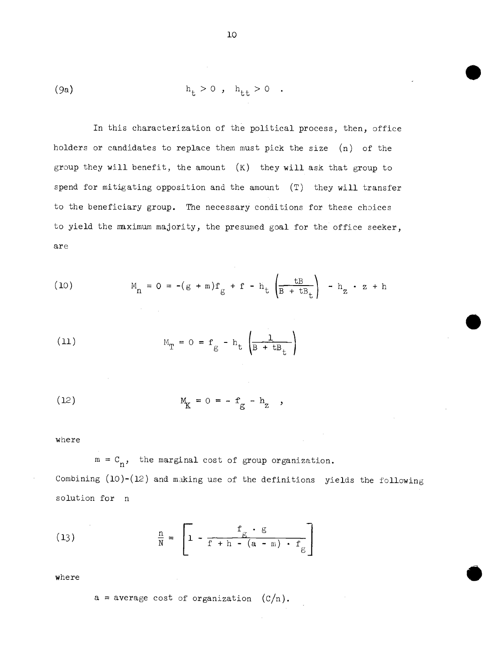(9a) 
$$
h_t > 0
$$
,  $h_{tt} > 0$ .

In this characterization of the political process, then, office holders or candidates to replace them must pick the size (n) of the group they will benefit, the amount (K) they will ask that group to spend for mitigating opposition and the amount (T) they will transfer to the beneficiary group. The necessary conditions for these choices to yield the maximum majority, the presumed goal for the office seeker, are

(10) 
$$
M_n = 0 = -(g + m)f_g + f - h_t \left(\frac{tB}{B + tB_t}\right) - h_z \cdot z + h
$$

(11) 
$$
M_T = 0 = f_g - h_t \left( \frac{1}{B + tB_t} \right)
$$

(12) 
$$
M_K = 0 = -f_g - h_z
$$
,

where

 $m = C_n$ , the marginal cost of group organization. Combining  $(10)-(12)$  and making use of the definitions yields the following solution for n

(13) 
$$
\frac{n}{N} = \left[1 - \frac{f_g \cdot g}{f + h - (a - m) \cdot f_g}\right]
$$

where

$$
a = average cost of organization (C/n).
$$

10

 $\bullet$ 

 $\bullet$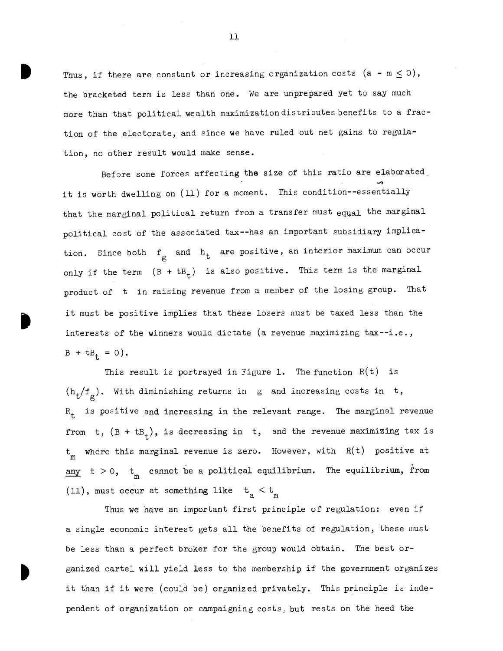Thus, if there are constant or increasing organization costs (a -  $m \le 0$ ), the bracketed term is less than one. We are unprepared yet to say much more than that political wealth maximizationdistributes benefits to a fraction of the electorate, and since we have ruled out net gains to regulation, no other result would make sense.

Before some forces affecting the size of this ratio are elaborated. it is worth dwelling on (11) for a moment. This condition--essentially that the marginal political return from a transfer must equal the marginal political cost of the associated tax--has an important subsidiary implication. Since both  $f_g$  and  $h_t$  are positive, an interior maximum can occur only if the term  $(B + tB_t)$  is also positive. This term is the marginal product of t in raising revenue from a member of the losing group. That it must be positive implies that these losers must be taxed less than the interests of the winners would dictate (a revenue maximizing tax--i.e.,  $B + tB_t = 0$ .

This result is portrayed in Figure 1. The function  $R(t)$  is  $(h_t/f_g)$ . With diminishing returns in g and increasing costs in t,  $R_t$  is positive and increasing in the relevant range. The marginal revenue from t,  $(B + tB_+)$ , is decreasing in t, and the revenue maximizing tax is  $t_{m}$  where this marginal revenue is zero. However, with  $R(t)$  positive at any  $t > 0$ ,  $t_m$  cannot be a political equilibrium. The equilibrium, from (11), must occur at something like  $t_a < t_m$ 

Thus we have an important first principle of regulation: even if a single economic interest gets all the benefits of regulation, these must be less than a perfect broker for the group would obtain. The best organized cartel will yield less to the membership if the government organizes it than if it were (could be) organized privately. This principle is independent of organization or campaigning costs, but rests on the heed the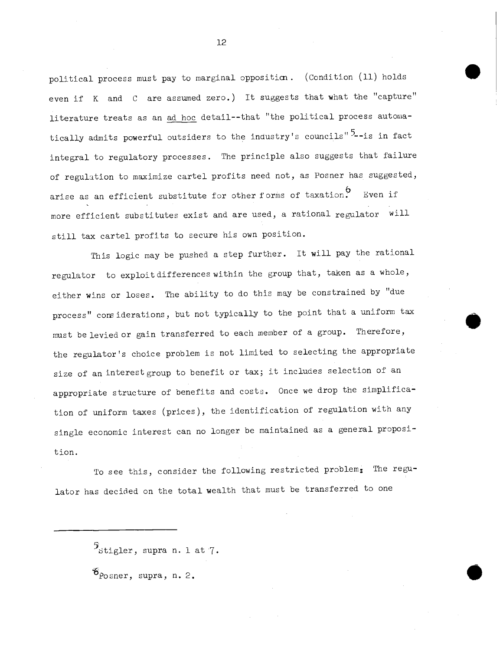political process must pay to marginal opposition. (Condition (11) holds even if K and C are assumed zero.) It suggests that what the 'capture" literature treats as an ad hoc detail--that "the political process automatically admits powerful outsiders to the industry's councils"<sup>5</sup>--is in fact integral to regulatory processes. The principle also suggests that failure of regulation to maximize cartel profits need not, as Posner has suggested, arise as an efficient substitute for other forms of taxation. Even if more efficient substitutes exist and are used, a rational regulator will still tax cartel profits to secure his own position.

This logic may be pushed a step further. It will pay the rational regulator to exploitdifferences within the group that, taken as a whole, either wins or loses. The ability to do this may be constrained by "due process" considerations, but not typically to the point that a uniform tax must be levied or gain transferred to each member of a group. Therefore, the regulator's choice problem is not limited to selecting the appropriate size of an interest group to benefit or tax; it includes selection of an appropriate structure of benefits and costs. Once we drop the simplification of uniform taxes (prices), the identification of regulation with any single economic interest can no longer be maintained as a general proposition.

To see this, consider the following restricted problem: The regulator has decided on the total wealth that must be transferred to one

> $5$ Stigler, supra n. 1 at 7.  $\mathcal{C}_{\text{Posner, supra, n. 2.}}$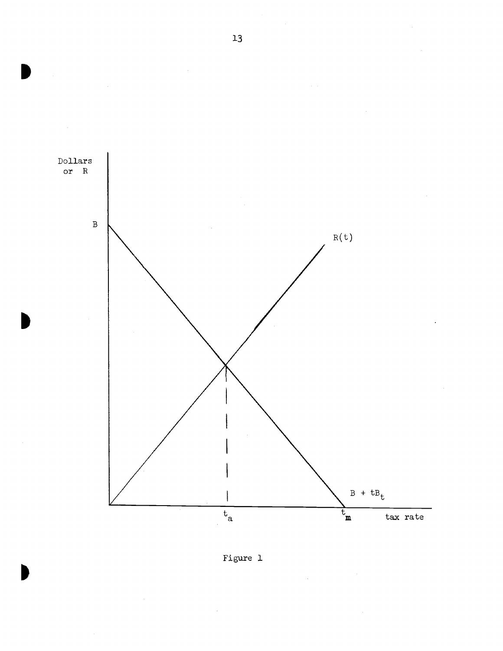

 $\mathcal{L}$ 

**I**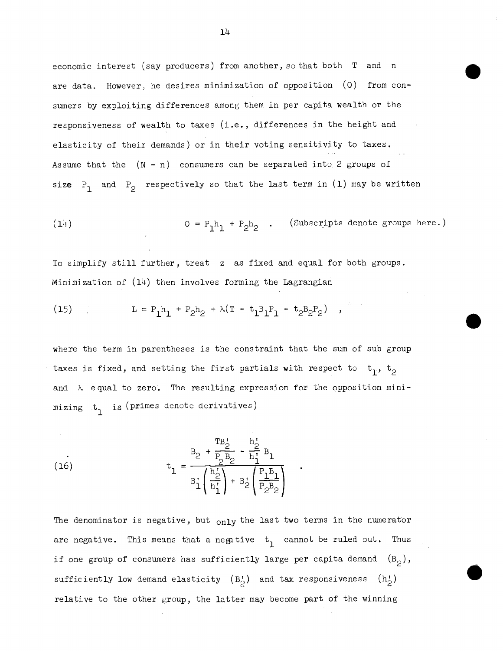economic interest (say producers) fron another, so that both T and n are data. However, he desires minimization of opposition (0) from consumers by exploiting differences among them in per capita wealth or the responsiveness of wealth to taxes (i.e., differences in the height and elasticity of their demands) or in their voting sensitivity to taxes. Assume that the  $(N - n)$  consumers can be separated into 2 groups of size  $P_1$  and  $P_2$  respectively so that the last term in (1) may be written

(14) 
$$
0 = P_1 h_1 + P_2 h_2
$$
 (Subscripts denote groups here.)

To simplify still further, treat z as fixed and equal for both groups. Minimization of  $(14)$  then involves forming the Lagrangian

(15) 
$$
L = P_1 h_1 + P_2 h_2 + \lambda (T - t_1 B_1 P_1 - t_2 B_2 P_2) ,
$$

where the term in parentheses is the constraint that the sum of sub group taxes is fixed, and setting the first partials with respect to  $t_1$ ,  $t_2$ and  $\lambda$  equal to zero. The resulting expression for the opposition minimizing  $t_1$  is (primes denote derivatives)

(16) 
$$
t_{1} = \frac{B_{2} + \frac{TB_{2}^{1}}{P_{2}B_{2}} - \frac{h_{2}^{1}}{h_{1}^{1}}B_{1}}{B_{1} \left(\frac{h_{2}^{1}}{h_{1}^{1}}\right) + B_{2} \left(\frac{P_{1}B_{1}}{P_{2}B_{2}}\right)}
$$

The denominator is negative, but  $_{\text{only}}$  the last two terms in the numerator are negative. This means that a negative  $t_1$  cannot be ruled out. Thus if one group of consumers has sufficiently large per capita demand  $(B_{\rho})$ , sufficiently low demand elasticity  $(B_0)$  and tax responsiveness  $(h_0)$ relative to the other group, the latter may become part of the winning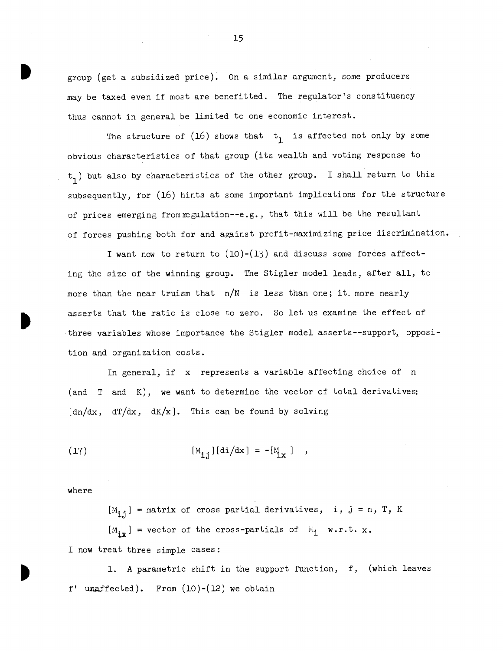group (get a subsidized price). On a similar argument, some producers may be taxed even if most are benefitted. The regulator's constituency thus cannot in general be limited to one economic interest.

The structure of (16) shows that  $t_1$  is affected not only by some obvious characteristics of that group (its wealth and voting response to  $t_1$ ) but also by characteristics of the other group. I shall return to this subsequently, for (16) hints at some important implications for the structure of prices emerging from regulation--e.g., that this will be the resultant of forces pushing both for and against profit-maximizing price discrimination.

I want now to return to  $(10)-(13)$  and discuss some forces affecting the size of the winning group. The Stigler model leads, after all, to more than the near truism that  $n/N$  is less than one; it more nearly asserts that the ratio is close to zero. So let us examine the effect of three variables whose importance the Stigler model asserts--support, opposition and organization costs.

In general, if x represents a variable affecting choice of n (and T and K), we want to determine the vector of total derivatives:  $[dn/dx, dT/dx, dK/x]$ . This can be found by solving

(17) 
$$
[M_{ij}](di/dx) = -[M_{ix}],
$$

where

 $[M_{i,j}]$  = matrix of cross partial derivatives, i, j = n, T, K

 $[M_{\mathbf{y}}]$  = vector of the cross-partials of  $M_{\mathbf{y}}$  w.r.t. x.

I now treat three simple cases:

1. A parametric shift in the support function, f, (which leaves  $f'$  unaffected). From  $(10)-(12)$  we obtain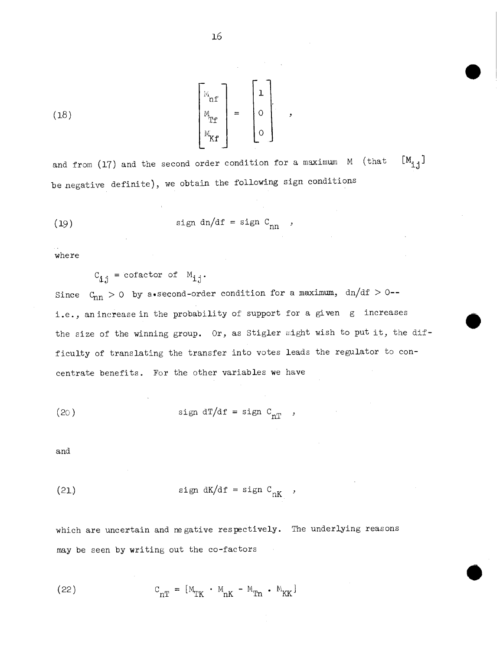(18) 
$$
\begin{bmatrix} M_{\text{inf}} \\ M_{\text{inf}} \\ M_{\text{inf}} \\ M_{\text{inf}} \end{bmatrix} = \begin{bmatrix} 1 \\ 0 \\ 0 \end{bmatrix},
$$

and from (17) and the second order condition for a maximum  $M$  (that  $[M_{1,i}]$ be negative definite), we obtain the following sign conditions

 $\bullet$ 

 $\bullet$ 

(19) 
$$
\sigma = \sigma \sin \theta_0
$$
,

where

 $C_{i,j}$  = cofactor of  $M_{i,j}$ .

Since  $C_{nn} > 0$  by a.second-order condition for a maximum,  $dn/df > 0$ -i.e., anincreasein the probability of support for a given g increases the size of the winning group. Or, as Stigler might wish to put it, the difficulty of translating the transfer into votes leads the regulator to concentrate benefits. For the other variables we have

(20) 
$$
\text{sign } dT/df = \text{sign } C_{nT} \quad ,
$$

and

(21) 
$$
\operatorname{sign} dK/df = \operatorname{sign} C_{nK},
$$

which are uncertain and negative respectively. The underlying reasons may be seen by writing out the co-factors

$$
C_{nT} = [M_{TK} \cdot M_{nk} - M_{Tn} \cdot M_{KK}]
$$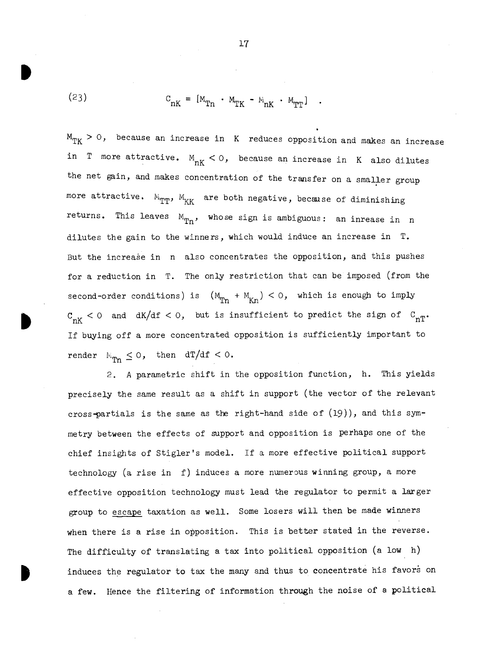$$
C_{nK} = [M_{\text{Tr}} \cdot M_{\text{TK}} - M_{\text{TK}} \cdot M_{\text{TT}}].
$$

p<sub>rop</sub>er and the property of the second second second second second second second second second second second second second second second second second second second second second second second second second second second

 $M_{\text{TK}} > 0$ , because an increase in K reduces opposition and makes an increase in T more attractive.  $M_{\rm nK} < 0$ , because an increase in K also dilutes the net gain, and makes concentration of the transfer on a smaller group more attractive.  $M_{TT}$ ,  $M_{KK}$  are both negative, because of diminishing returns. This leaves  $M_{Tn}$ , whose sign is ambiguous: an inrease in n dilutes the gain to the winners, which would induce an increase in T. But the increase in n also concentrates the opposition, and this pushes for a reduction in T. The only restriction that can be imposed (from the second-order conditions) is  $(M_{Tn} + M_{Kn}) < 0$ , which is enough to imply  $\rm c_{nK}^{\phantom{m}}$  < 0 and dK/df < 0, but is insufficient to predict the sign of  $\rm \, c_{nT}^{\phantom{m}}$ . If buying off a more concentrated opposition is sufficiently important to render  $N_{\text{min}} \leq 0$ , then  $d\text{T}/df < 0$ .

2. A parametric shift in the opposition function, h. This yields precisely the same result as a shift in support (the vector of the relevant cross-partials is the same as the right-hand side of  $(19)$ ), and this symmetry between the effects of support and opposition is perhaps one of the chief insights of Stigler's model. If a more effective political support technology (a rise in f) induces a more numerous winning group, a more effective opposition technology must lead the regulator to permit a larger group to escape taxation as well. Some losers will then be made winners when there is a rise in opposition. This is better stated in the reverse. The difficulty of translating a tax into political opposition (a low h) induces the regulator to tax the many and thus to concentrate his favors on a few. Hence the filtering of information through the noise of a political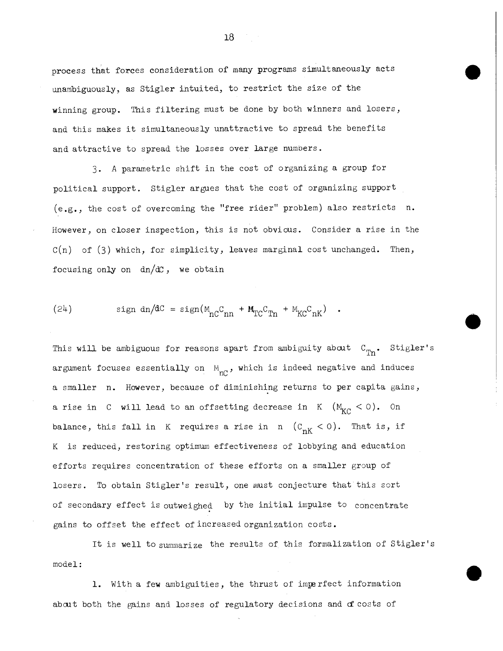process that forces consideration of many programs simultaneously acts unambiguously, as Stigler intuited, to restrict the size of the winning group. This filtering must be done by both winners and losers, and this makes it simultaneously unattractive to spread the benefits and attractive to spread the losses over large numbers.

3. A parametric shift in the cost of organizing a group for political support. Stigler argues that the cost of organizing support (e.g., the cost of overcoming the "free rider" problem) also restricts n. However, on closer inspection, this is not obvious. Consider a rise in the  $C(n)$  of (3) which, for simplicity, leaves marginal cost unchanged. Then, focusing only on  $dn/dC$ , we obtain

(24) 
$$
\sin \mathrm{dn}/dC = \sin(M_{nC}C_{nn} + M_{TC}C_{Tn} + M_{KC}C_{nK})
$$

This will be ambiguous for reasons apart from ambiguity about  $C_{Tn}$ . Stigler's argument focuses essentially on  $M_{n}$ , which is indeed negative and induces a smaller n. However, because of diminishing returns to per capita gains, a rise in C will lead to an offsetting decrease in K  $(M_{\overline{KC}} < 0)$ . On balance, this fall in K requires a rise in n  $(C_{nK} < 0)$ . That is, if K is reduced, restoring optimum effectiveness of lobbying and education efforts requires concentration of these efforts on a smaller group of losers. To obtain Stigler's result, one must conjecture that this sort of secondary effect is outweighed by the initial impulse to concentrate gains to offset the effect of increased organization costs.

It is well to summarize the results of this formalization of Stigler's model:

1. With a few ambiguities, the thrust of imperfect information about both the gains and losses of regulatory decisions and of costs of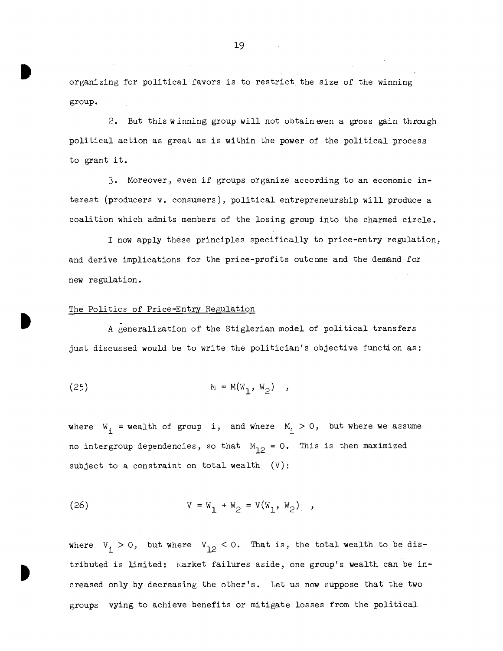organizing for political favors is to restrict the size of the winning group.

2. But this winning group will not obtain even a gross gain through political action as great as is within the power of the political process to grant it.

3. Moreover, even if groups organize according to an economic interest (producers v. consumers), political entrepreneurship will produce a coalition which admits members of the losing group into the charmed circle.

I now apply these principles specifically to price-entry regulation, and derive implications for the price-profits outcome and the demand for new regulation.

### The Politics of Price-Entry Regulation

A generalization of the Stiglerian model of political transfers just discussed would be to write the politician's objective function as:

(25) 
$$
M = M(W_1, W_2)
$$
,

where  $W_i$  = wealth of group i, and where  $M_i > 0$ , but where we assume no intergroup dependencies, so that  $M_{12} = 0$ . This is then maximized subject to a constraint on total wealth  $(V)$ :

(26) 
$$
V = W_1 + W_2 = V(W_1, W_2)
$$
,

where  $V_i > 0$ , but where  $V_{12} < 0$ . That is, the total wealth to be distributed is limited: Market failures aside, one group's wealth can be increased only by decreasing the other's. Let us now suppose that the two groups vying to achieve benefits or mitigate losses from the political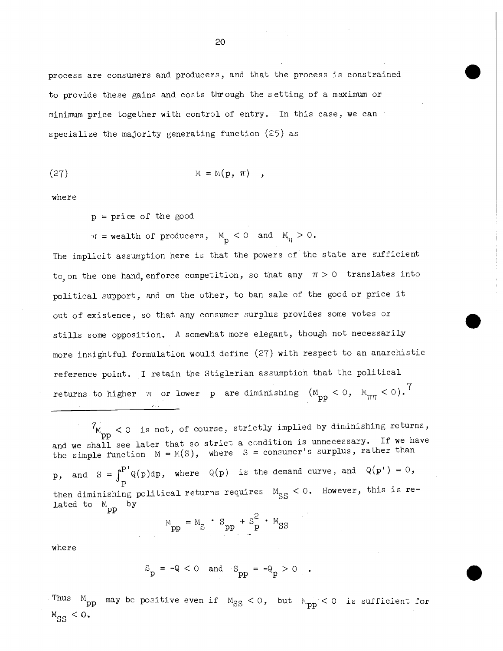process are consumers and producers, and that the process is constrained to provide these gains and costs through the setting of a maximum or minimum price together with control of entry. In this case, we can specialize the majority generating function (25) as

$$
(27) \t\t\t\t M = N(\mathbf{p}, \pi) ,
$$

where

 $p = price of the good$ 

 $\pi$  = wealth of producers,  $M_p < 0$  and  $M_{\pi} > 0$ .

The implicit assumption here is that the powers of the state are sufficient to, on the one hand, enforce competition, so that any  $\pi > 0$  translates into political support, and on the other, to ban sale of the good or price it out of existence, so that any consumer surplus provides some votes or stills some opposition. A somewhat more elegant, though not necessarily more insightful formulation would define (27) with respect to an anarchistic reference point. I retain the Stiglerian assumption that the political returns to higher  $\pi$  or lower p are diminishing  $(M_{pp} < 0, M_{\pi\pi} < 0).$ <sup>7</sup>

 $7_{\text{M}_{\text{DD}}}$  < 0 is not, of course, strictly implied by diminishing returns, pp<br>and we shall see later that so strict a condition is unnecessary. If we have the simple function  $M = M(S)$ , where S = consumer's surplus, rather than p, and  $S = \int_{0}^{P'} Q(p) dp$ , where  $Q(p)$  is the demand curve, and  $Q(p') = 0$ , then diminishing political returns requires  $M_{SS} < 0$ . However, this is related to  $M_{\text{pp}}$  by

 $M_{\text{pp}} = M_{\text{S}} \cdot \text{S}_{\text{pp}} + \text{S}_{\text{p}}^2 \cdot M_{\text{SS}}$ 

where

$$
S_p = -Q < 0 \quad \text{and} \quad S_{pp} = -Q_p > 0 \quad .
$$

Thus  $M_{pp}$  may be positive even if  $M_{SS} < 0$ , but  $M_{pp} < 0$  is sufficient for  $M_{SS}$  < 0.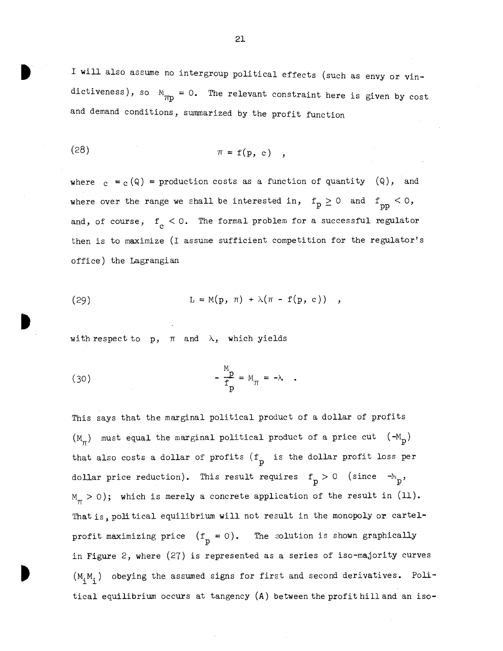I will also assume no intergroup political effects (such as envy or vindictiveness), so  $M_{\pi D} = 0$ . The relevant constraint here is given by cost and demand conditions, summarized by the profit function

$$
\pi = f(p, c) ,
$$

where  $c = c(Q)$  = production costs as a function of quantity  $(Q)$ , and where over the range we shall be interested in,  $f_p \ge 0$  and  $f_{pn} < 0$ , and, of course,  $f_c < 0$ . The formal problem for a successful regulator then is to maximize (I assume sufficient competition for the regulator's office) the Lagrangian

(29) 
$$
L = M(p, \pi) + \lambda(\pi - f(p, c))
$$
,

with respect to  $p$ ,  $\pi$  and  $\lambda$ , which yields

$$
\frac{M_p}{f_p} = M_{\pi} = -\lambda \quad .
$$

This says that the marginal political product of a dollar of profits  $(M_{\pi})$  must equal the marginal political product of a price cut  $(-M_{\text{p}})$ that also costs a dollar of profits  $(f_n)$  is the dollar profit loss per dollar price reduction). This result requires  $f_n > 0$  (since  $-\mathbb{M}_n$ ,  $M_{\pi}$  > 0); which is merely a concrete application of the result in (11). That is, political equilibrium will not result in the monopoly or cartelprofit maximizing price  $(f_n = 0)$ . The solution is shown graphically in Figure 2, where (27) is represented as a series of iso-majority curves  $(M, M, )$  obeying the assumed signs for first and second derivatives. Political equilibrium occurs at tangency (A) between the profit hill and an iso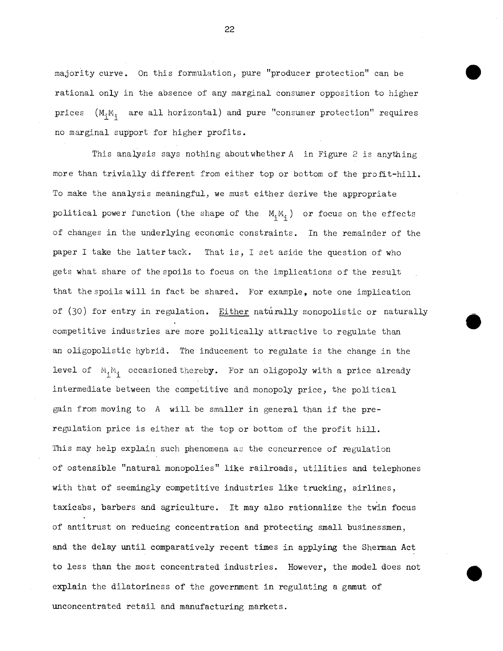majority curve. On this formulation, pure "producer protection" can be rational only in the absence of any marginal consumer opposition to higher prices  $(M, M, \alpha)$  are all horizontal) and pure "consumer protection" requires no marginal support for higher profits.

This analysis says nothing about whether A in Figure 2 is anything more than trivially different from either top or bottom of the profit-hill. To make the analysis meaningful, we must either derive the appropriate political power function (the shape of the  $M_iM_i$ ) or focus on the effects of changes in the underlying economic constraints. In the remainder of the paper I take the latter tack. That is, I set aside the question of who gets what share of the spoils to focus on the implications of the result that the spoils will in fact be shared. For example, note one implication of (30) for entry in regulation. Either naturally monopolistic or naturally competitive industries are more politically attractive to regulate than an oligopolistic hybrid. The inducement to regulate is the change in the level of  $M_1M_1$  occasioned thereby. For an oligopoly with a price already intermediate between the competitive and monopoly price, the political gain from moving to A will be smaller in general than if the preregulation price is either at the top or bottom of the profit hill. This may help explain such phenomena as the concurrence of regulation of ostensible "natural monopolies" like railroads, utilities and telephones with that of seemingly competitive industries like trucking, airlines, taxicabs, barbers and agriculture. It may also rationalize the twin focus of antitrust on reducing concentration and protecting small businessmen, and the delay until comparatively recent times in applying the Sherman Act to less than the most concentrated industries. However, the model does not explain the dilatoriness of the government in regulating a gamut of unconcentrated retail and manufacturing markets.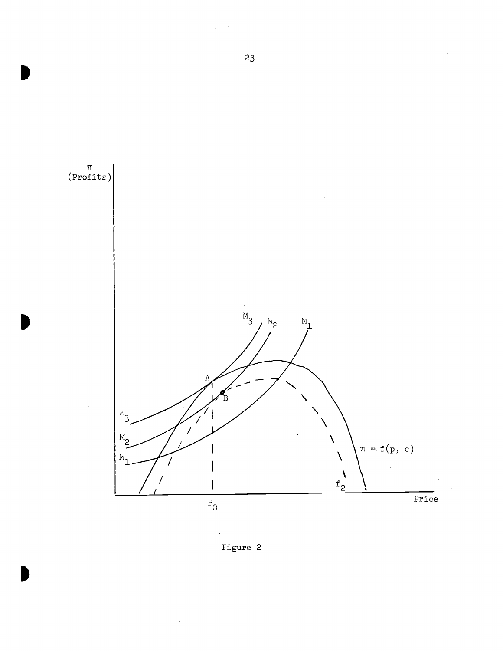

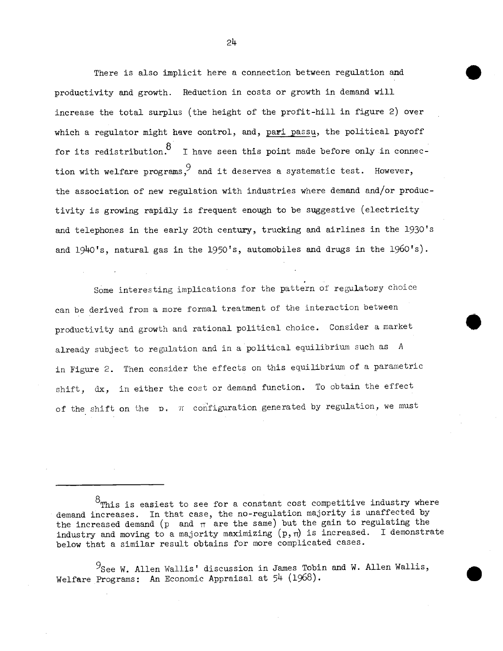There is also implicit here a connection between regulation and productivity and growth. Reduction in costs or growth in demand will increase the total surplus (the height of the profit-hill in figure 2) over which a regulator might have control, and, pari passu, the political payoff for its redistribution.  $8\,$  I have seen this point made before only in connection with welfare programs, and it deserves a systematic test. However, the association of new regulation with industries where demand and/or productivity is growing rapidly is frequent enough to be suggestive (electricity and telephones in the early 20th century, trucking and airlines in the 1930's and  $1940's$ , natural gas in the 1950's, automobiles and drugs in the 1960's).

Some interesting implications for the pattern of regulatory choice can be derived from a more formal treatment of the interaction between productivity and growth and rational political choice. Consider a market already subject to regulation and in a political equilibrium such as A in Figure 2. Then consider the effects on this equilibrium of a parametric shift, dx, in either the cost or demand function. To obtain the effect of the shift on the p.  $\pi$  configuration generated by regulation, we must

 $\sigma_{\text{This is easiest to see for a constant cost competitive industry where}}$ demand increases. In that case, the no-regulation majority is unaffected by the increased demand (p and  $\pi$  are the same) but the gain to regulating the industry and moving to a majority maximizing  $(p,\pi)$  is increased. I demonstrate below that a similar result obtains for more complicated cases.

 $9$ See W. Allen Wallis' discussion in James Tobin and W. Allen Wallis, Welfare Programs: An Economic Appraisal at 54 (1968).

21.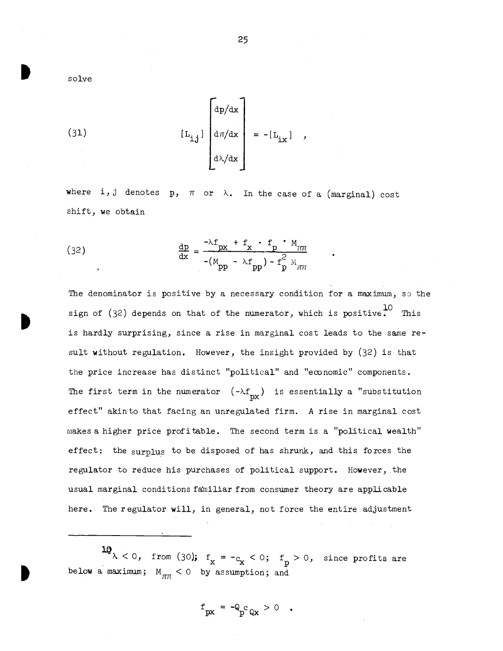solve

(31) 
$$
\begin{bmatrix} L_{i,j} \end{bmatrix} \begin{bmatrix} dp/dx \\ d\pi/dx \\ d\lambda/dx \end{bmatrix} = -[L_{ix}] ,
$$

where i, j denotes p,  $\pi$  or  $\lambda$ . In the case of a (marginal) cost shift, we obtain

(32) 
$$
\frac{dp}{dx} = \frac{-\lambda f_{px} + f_x \cdot f_p \cdot M_{TT}}{-(M_{pp} - \lambda f_{pp}) - f_p^2 M_{TT}}.
$$

The denominator is positive by a necessary condition for a maximum, so the sign of (32) depends on that of the numerator, which is positive. This is hardly surprising, since a rise in marginal cost leads to the same result without regulation. However, the insight provided by  $(32)$  is that the price increase has distinct "political" and "economic" components. The first term in the numerator  $(-\lambda f_{px})$  is essentially a "substitution effect" akinto that facing an unregulated firm. A rise in marginal cost makes a higher price profitable. The second term is a "political wealth" effect: the surplus to be disposed of has shrunk, and this forces the regulator to reduce his purchases of political support. However, the usual marginal conditions familiar from consumer theory are applicable here. The regulator will, in general, not force the entire adjustment

10  $\lambda$  < 0, from (30);  $f_x = -c_x < 0$ ;  $f_p > 0$ , since profits are below a maximum;  $M_{\pi\pi}$  < 0 by assumption; and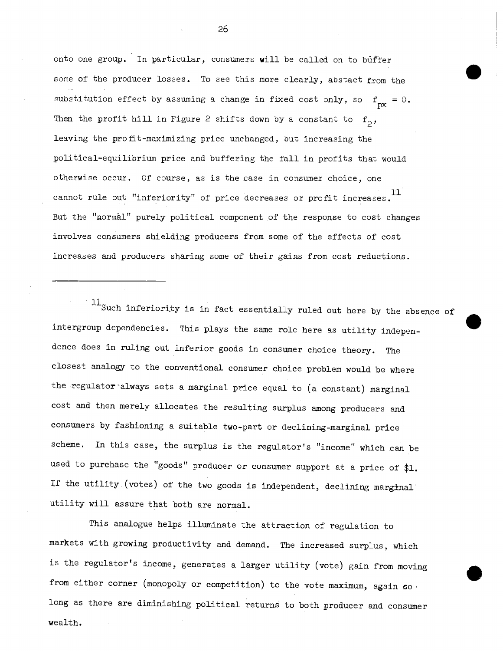onto one group. In particular, consumers will be called on to buffer some of the producer losses. To see this more clearly, abstact from the substitution effect by assuming a change in fixed cost only, so  $f_{px} = 0$ . Then the profit hill in Figure 2 shifts down by a constant to  $f_p$ , leaving the profit-maximizing price unchanged, but increasing the political-equilibrium price and buffering the fall in profits that would otherwise occur. Of course, as is the case in consumer choice, one cannot rule out "inferiority" of price decreases or profit increases.  $^{11}$ But the "normal" purely political component of the response to cost changes involves consumers shielding producers from some of the effects of cost increases and producers sharing some of their gains from cost reductions.

 $11$ Such inferiority is in fact essentially ruled out here by the absence of intergroup dependencies. This plays the same role here as utility independence does in ruling out inferior goods in consumer choice theory. The closest analogy to the conventional consumer choice problem would be where the regulator always sets a marginal price equal to (a constant) marginal cost and then merely allocates the resulting surplus among producers and consumers by fashioning a suitable two-part or declining-marginal price scheme. In this case, the surplus is the regulator's "income" which can be used to purchase the "goods" producer or consumer support at a price of \$1. If the utility (votes) of the two goods is independent, declining marg±nal utility will assure that both are normal.

This analogue helps illuminate the attraction of regulation to markets with growing productivity and demand. The increased surplus, which is the regulator's income, generates a larger utility (vote) gain from moving from either corner (monopoly or competition) to the vote maximum, again co. long as there are diminishing political returns to both producer and consumer wealth.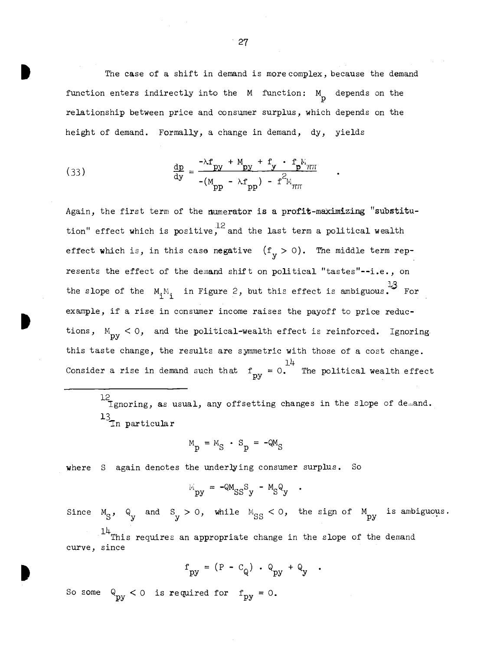The case of a shift in demand is more complex, because the demand function enters indirectly into the M function: M depends on the relationship between price and consumer surplus, which depends on the height of demand. Formally, a change in demand, dy, yields

(33) 
$$
\frac{dp}{dy} = \frac{-\lambda f_{py} + M_{py} + f_y \cdot f_p^N_{\eta\eta}}{-(M_{pp} - \lambda f_{pp}) - f^2_{\eta\eta\eta}}
$$

Again, the first term of the numerator is a profit-maximizing "substitution" effect which is positive,  $12$  and the last term a political wealth effect which is, in this case negative  $(f_y > 0)$ . The middle term represents the effect of the demand shift on political "tastes"--i.e., on the slope of the  $M_1M_1$  in Figure 2, but this effect is ambiguous. For example, if a rise in consumer income raises the payoff to price reductions,  $M_{\text{ny}} < 0$ , and the political-wealth effect is reinforced. Ignoring. this taste change, the results are symmetric with those of a cost change. Consider a rise in demand such that  $f_{py} = 0$ . The political wealth effect

1gnoring, as usual, any offsetting changes in the slope of demand. 13 In particular

$$
M_{\mathbf{p}} = M_{\mathbf{S}} \cdot \mathbf{S}_{\mathbf{p}} = -\mathbf{Q} M_{\mathbf{S}}
$$

where S again denotes the underlying consumer surplus. So

$$
M_{\text{py}} = -QM_{\text{SS}}S_{\text{y}} - M_{\text{S}}Q_{\text{y}}.
$$

Since  $M_S$ ,  $Q_V$  and  $S_V > 0$ , while  $M_{SS} < 0$ , the sign of  $M_{DY}$  is ambiguous.

 $14$  This requires an appropriate change in the slope of the demand curve, since

$$
f_{py} = (P - C_Q) \cdot Q_{py} + Q_y \cdot
$$

So some  $Q_{py} < 0$  is required for  $f_{py} = 0$ .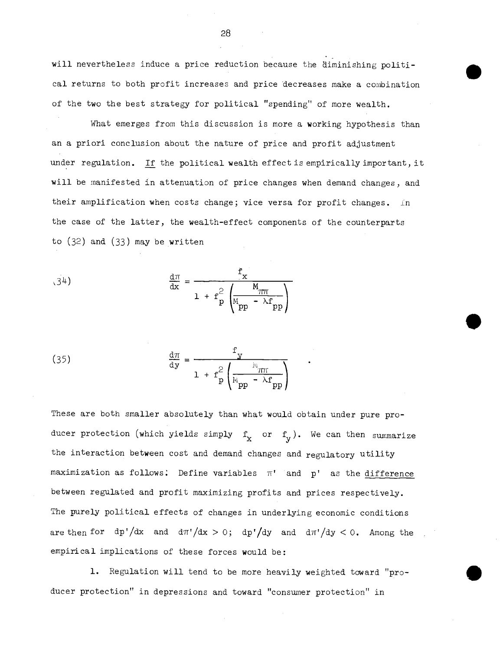will nevertheless induce a price reduction because the diminishing political returns to both profit increases and price decreases make a combination of the two the best strategy for political "spending" of more wealth.

What emerges from this discussion is more a working hypothesis than an a priori conclusion about the nature of price and profit adjustment under regulation. If the political wealth effect is empirically important, it will be manifested in attenuation of price changes when demand changes, and their amplification when costs change; vice versa for profit changes. in the case of the latter, the wealth-effect components of the counterparts to (32) and (33) may be written

$$
\frac{d\pi}{dx} = \frac{f_x}{1 + f_p^2 \left(\frac{M_{\pi\pi}}{p} - \lambda f_{\text{pp}}\right)}
$$

(35) 
$$
\frac{d\pi}{dy} = \frac{f_y}{1 + f_p^2 \left(\frac{M}{M_{pp} - \lambda f_{pp}}\right)}
$$

These are both smaller absolutely than what would obtain under pure producer protection (which yields simply  $f_x$  or  $f_y$ ). We can then summarize the interaction between cost and demand changes and regulatory utility maximization as follows: Define variables  $\pi'$  and p' as the difference between regulated and profit maximizing profits and prices respectively. The purely political effects of changes in underlying economic conditions are then for  $dp'/dx$  and  $d\pi'/dx > 0$ ;  $dp'/dy$  and  $d\pi'/dy < 0$ . Among the empirical implications of these forces would be:

1. Regulation will tend to be more heavily weighted toward "producer protection" in depressions and toward "consumer protection" in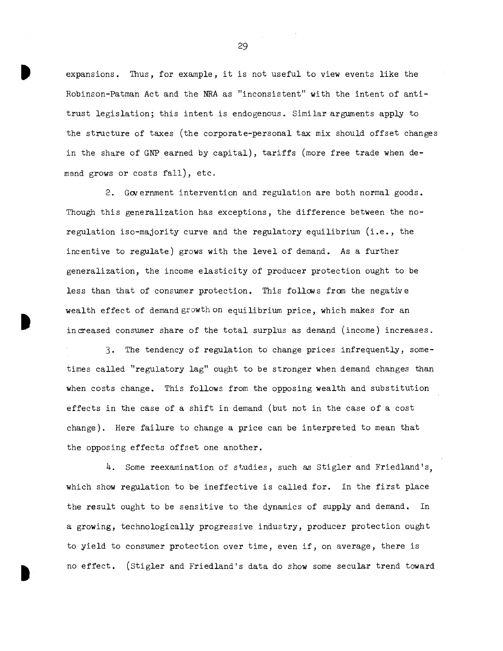) expansions. Thus, for example, it is not useful to view events like the Robinson-Patman Act and the NRA as "inconsistent" with the intent of antitrust legislation; this intent is endogenous. Similar arguments apply to the structure of taxes (the corporate-personal tax mix should offset changes in the share of GNP earned by capital), tariffs (more free trade when demand grows or costs fall), etc.

2. Government intervention and regulation are both normal goods. Though this generalization has exceptions, the difference between the noregulation iso-majority curve and the regulatory equilibrium (i.e., the incentive to regulate) grows with the level of demand. As a further generalization, the income elasticity of producer protection ought to be less than that of consumer protection. This follows from the negative wealth effect of demand growth on equilibrium price, which makes for an increased consumer share of the total surplus as demand (income) increases.

3. The tendency of regulation to change prices infrequently, sometimes called "regulatory lag" ought to be stronger when demand changes than when costs change. This follows from the opposing wealth and substitution effects in the case of a shift in demand (but not in the case of a cost change). Here failure to change a price can be interpreted to mean that the opposing effects offset one another.

4. Some reexamination of studies, such as Stigler and Friedland's, which show regulation to be ineffective is called for. In the first place the result ought to be sensitive to the dynamics of supply and demand. In a growing, technologically progressive industry, producer protection ought to yield to consumer protection over time, even if, on average, there is no effect. (stigler and Friedland's data do show some secular trend toward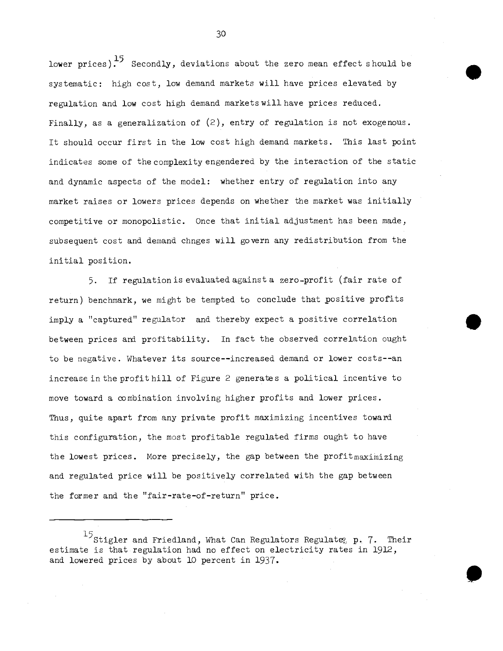lower prices).<sup>15</sup> Secondly, deviations about the zero mean effect should be systematic: high cost, low demand markets will have prices elevated by regulation and low cost high demand markets will have prices reduced. Finally, as a generalization of  $(2)$ , entry of regulation is not exogenous. It should occur first in the low cost high demand markets. This last point indicates some of the complexity engendered by the interaction of the static and dynamic aspects of the model: whether entry of regulation into any market raises or lowers prices depends on whether the market was initially competitive or monopolistic. Once that initial adjustment has been made, subsequent cost and demand chnges will govern any redistribution from the initial position.

5. If regulationisevaluatedagainsta zero-profit (fair rate of return) benchmark, we might be tempted to conclude that positive profits imply a "captured" regulator and thereby expect a positive correlation between prices and profitability. In fact the observed correlation ought to be negative. Whatever its source--increased demand or lower costs--an increase in the profithill of Figure 2 generates a political incentive to move toward a combination involving higher profits and lower prices. Thus, quite apart from any private profit maximizing incentives toward this configuration, the most profitable regulated firms ought to have the lowest prices. More precisely, the gap between the profitmaximizing and regulated price will be positively correlated with the gap between the former and the "fair-rate—of-return" price.

 $^{15}$ Stigler and Friedland, What Can Regulators Regulate?, p. 7. Their estimate is that regulation had no effect on electricity rates in 1912, and lowered prices by about 10 percent in 1937.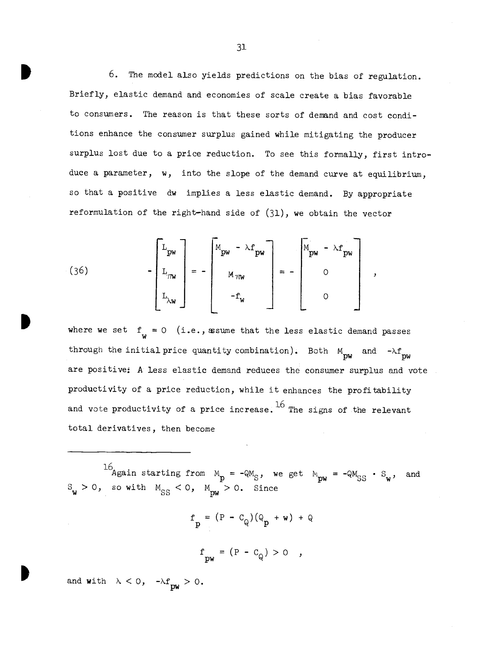6. The model also yields predictions on the bias of regulation. Briefly, elastic demand and economies of scale create a bias favorable to consumers. The reason is that these sorts of demand and cost conditions enhance the consumer surplus gained while mitigating the producer surplus lost due to a price reduction. To see this formally, first introduce a parameter, w, into the slope of the demand curve at equilibrium, so that a positive dw implies a less elastic demand. By appropriate reformulation of the right—hand side of (31), we obtain the vector

(36) 
$$
\begin{bmatrix} L_{pw} \\ L_{rw} \\ L_{dw} \end{bmatrix} = - \begin{bmatrix} M_{pw} - \lambda f_{pw} \\ M_{TW} \\ -f_w \end{bmatrix} = - \begin{bmatrix} M_{pw} - \lambda f_{pw} \\ 0 \\ 0 \end{bmatrix},
$$

where we set  $f_{\omega} = 0$  (i.e., assume that the less elastic demand passes through the initial price quantity combination). Both  $M_{\text{pw}}$  and  $-\lambda f_{\text{pw}}$ are positive: A less elastic demand reduces the consumer surplus and vote productivity of a price reduction, while it enhances the profitability and vote productivity of a price increase.  $^{16}$  The signs of the relevant total derivatives, then become

- Again starting from  $M_{\text{p}}$  =  $-QM_{\text{S}}$ , we get  $M_{\text{pw}}$  =  $-QM_{\text{SS}}$  . S<sub>w</sub>, and  $S_{\mathsf{w}}>0$ , so with  $M_{SS}<0$ ,  $M_{\mathsf{pw}}>0$ . Since

 $f_p = (P - C_Q)(Q_p + w) + Q$ 

$$
f'_{\text{pw}} = (P - C_{\text{Q}}) > 0 \quad ,
$$

and with  $\lambda < 0$ ,  $-\lambda f_{\text{pw}} > 0$ .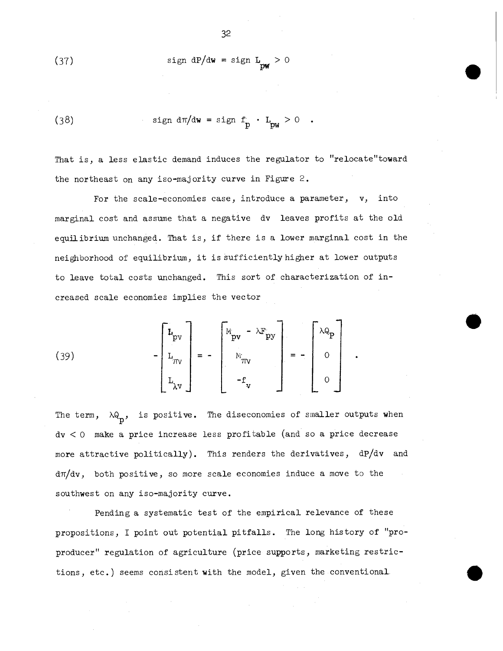(37) 
$$
\operatorname{sign} \, \mathrm{d}P/\mathrm{d}w = \operatorname{sign} \, L_{DW} > 0
$$

(38) sign 
$$
d\pi/dw = sign f'_p \cdot L_{pw} > 0
$$
.

That is, a less elastic demand induces the regulator to "relocate"toward the northeast on any iso-majority curve in Figure 2.

For the scale-economies case, introduce a parameter, v, into marginal cost and assume that a negative dv leaves profits at the old equilibrium unchanged. That is, if there is a lower marginal cost in the neighborhood of equilibrium, it is sufficiently higher at lower outputs to leave total costs unchanged. This sort of characterization of increased scale economies implies the vector

(39) 
$$
\begin{bmatrix} \mathbf{L}_{pv} \\ \mathbf{L}_{\pi v} \\ \mathbf{L}_{\pi v} \end{bmatrix} = - \begin{bmatrix} M_{pv} - \lambda \mathbf{F}_{py} \\ M_{\pi v} \\ -\mathbf{F}_{v} \end{bmatrix} = - \begin{bmatrix} \lambda \mathbf{Q}_{p} \\ 0 \\ 0 \end{bmatrix}.
$$

The term,  $\lambda Q_n$ , is positive. The diseconomies of smaller outputs when  $\texttt{dv} < \texttt{0}$  make a price increase less profitable (and so a price decrease more attractive politically). This renders the derivatives, dP/dv and  $d\pi/d{\tt v}$ , both positive, so more scale economies induce a move to the southwest on any iso-majority curve.

Pending a systematic test of the empirical relevance of these propositions, I point out potential pitfalls. The long history of "proproducer" regulation of agriculture (price supports, marketing restrictions, etc.) seems consistent with the model, given the conventional.

32

.

.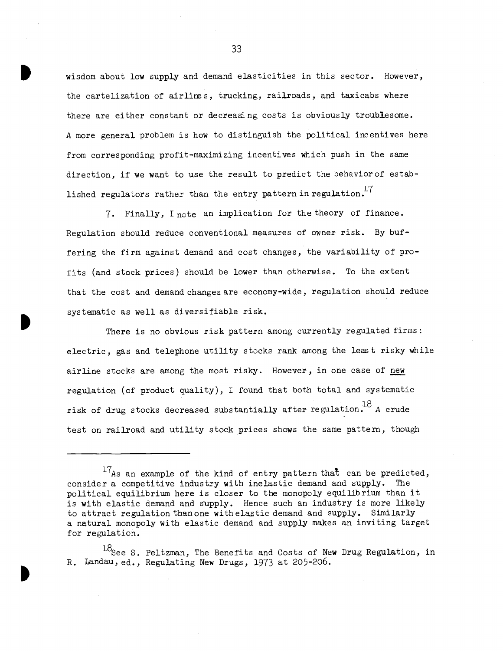wisdom about low supply and demand elasticities in this sector. However, the cartelization of airlirs, trucking, railroads, and taxicabs where there are either constant or decreasing costs is obviously troublesome. A more general problem is how to distinguish the political incentives here from corresponding profit-maximizing incentives which push in the same direction, if we want to use the result to predict the behavior of established regulators rather than the entry pattern in regulation.<sup>17</sup>

7. Finally, I note an implication for the theory of finance. Regulation should reduce conventional measures of owner risk. By buffering the firm against demand and cost changes, the variability of profits (and stock prices) should be lower than otherwise. To the extent that the cost and demand changesare economy-wide, regulation should reduce systematic as well as diversifiable risk.

There is no obvious risk pattern among currently regulated firms: electric, gas and telephone utility stocks rank among the least risky while airline stocks are among the most risky. However, in one case of new regulation (of product quality), I found that both total and systematic risk of drug stocks decreased substantially after regulation.  $^{18}$  A crude test on railroad and utility stock prices shows the same pattern, though

 $17_{As}$  an example of the kind of entry pattern that can be predicted, consider a competitive industry with inelastic demand and supply. The political equilibrium here is closer to the monopoly equilibrium than it is with elastic demand and supply. Hence such an industry is more likely to attract regulation than one with elastic demand and supply. Similarly a natural monopoly with elastic demand and supply makes an inviting target for regulation.

 $^{18}$ See S. Peltzman, The Benefits and Costs of New Drug Regulation, in R. Landau,ed., Regulating New Drugs, 1973 at 205-206.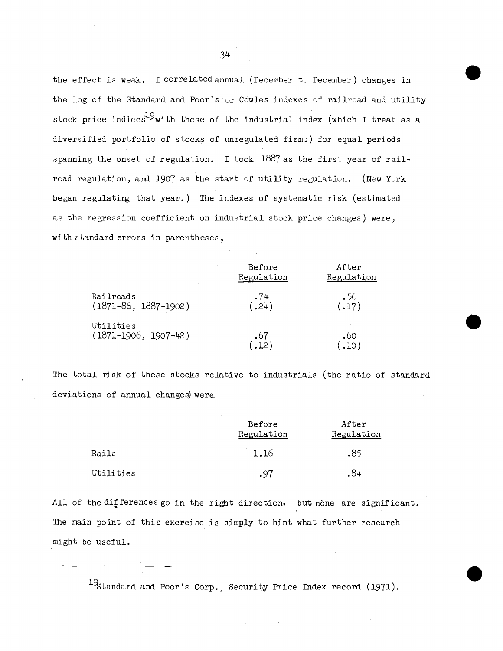the effect is weak. I correlated annual (December to December) changes in the log of the Standard and Poor's or Cowles indexes of railroad and utility stock price indices<sup>19</sup>with those of the industrial index (which I treat as a diversified portfolio of stocks of unregulated firm.) for equal periods spanning the onset of regulation. I took 1887 as the first year of railroad regulation, ard 1907 as the start of utility regulation. (New York began regulatirg that year.) The indexes of systematic risk (estimated as the regression coefficient on industrial stock price changes) were, with standard errors in parentheses,

|                            | Before<br>Regulation | After<br>Regulation |  |
|----------------------------|----------------------|---------------------|--|
| Railroads                  | .74                  | . 56                |  |
| $(1871 - 86, 1887 - 1902)$ | .24)                 | .17)                |  |
| Utilities                  | .67                  | .60                 |  |
| $(1871 - 1906, 1907 - 42)$ | .12)                 | .10)                |  |

The total risk of these stocks relative to industrials (the ratio of standard deviations of annual changes) were.

|           | Before<br><u>Regulation</u> | After<br>Regulation |  |
|-----------|-----------------------------|---------------------|--|
| Rails     | 1.16                        | .85                 |  |
| Utilities | .97                         | .84                 |  |

All of the differences go in the right direction, but none are significant. The main point of this exercise is simply to hint what further research might be useful.

 $1\frac{10}{3}$ tandard and Poor's Corp., Security Price Index record (1971).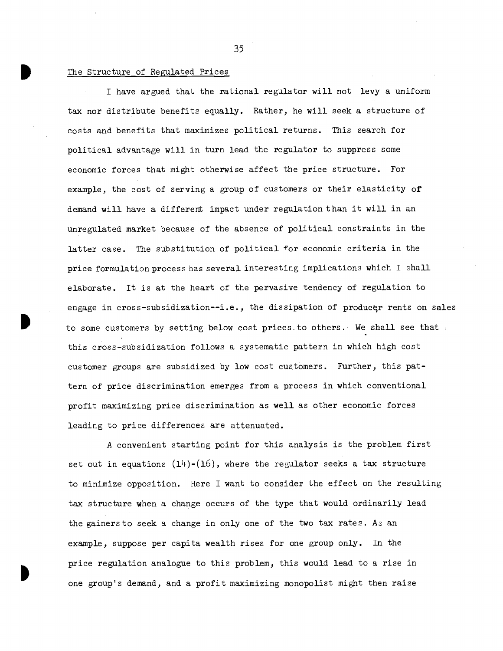#### The Structure of Regulated Prices

I have argued that the rational regulator will not levy a uniform tax nor distribute benefits equally. Rather, he will seek a structure of costs and benefits that maximizes political returns. This search for political advantage will in turn lead the regulator to suppress some economic forces that might otherwise affect the price structure. For example, the cost of serving a group of customers or their elasticity of demand will have a differert impact under regulation than it will in an unregulated market because of the absence of political constraints in the latter case. The substitution of political for economic criteria in the price formulation process has several interesting implications which I shall elaborate. It is at the heart of the pervasive tendency of regulation to engage in cross-subsidization--i.e., the dissipation of producer rents on sales to some customers by setting below cost prices to others. We shall see that : this cross—subsidization follows a systematic pattern in which high cost customer groups are subsidized by low cost customers. Further, this pattern of price discrimination emerges from a process in which conventional profit maximizing price discrimination as well as other economic forces leading to price differences are attenuated.

A convenient starting point for this analysis is the problem first set out in equations  $(14)-(16)$ , where the regulator seeks a tax structure to minimize opposition. Here I want to consider the effect on the resulting tax structure when a change occurs of the type that would ordinarily lead the gainers to seek a change in only one of the two tax rates. As an example, suppose per capita wealth rises for one group only. In the price regulation analogue to this problem, this would lead to a rise in one group's demand, and a profit maximizing monopolist might then raise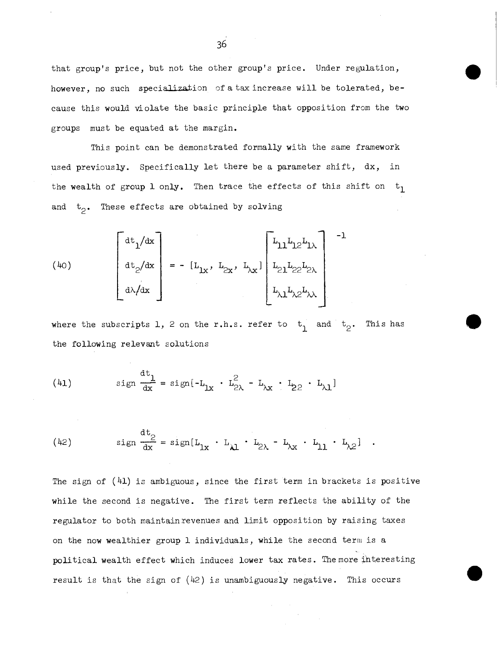that group's price, but not the other group's price. Under regulation, however, no such specialization of a tax increase will be tolerated, because this would violate the basic principle that opposition from the two groups must be equated at the margin.

This point can be demonstrated formally with the same framework used previously. Specifically let there be a parameter shift, dx, in the wealth of group 1 only. Then trace the effects of this shift on  $t_1$ and  $t_0$ . These effects are obtained by solving

(40) 
$$
\begin{bmatrix} dt_1/dx \\ dt_2/dx \\ dx/dx \end{bmatrix} = - [L_{1x}, L_{2x}, L_{\lambda x}] \begin{bmatrix} L_{11}L_{12}L_{1\lambda} \\ L_{21}L_{22}L_{2\lambda} \\ L_{\lambda 1}L_{\lambda 2}L_{\lambda \lambda} \end{bmatrix}^{-1}
$$

where the subscripts 1, 2 on the r.h.s. refer to  $t_1$  and  $t_2$ . This has the following relevant solutions

(41) 
$$
\sin \frac{dt_1}{dx} = \sin[-L_{1x} \cdot L_{2\lambda}^2 - L_{\lambda x} \cdot L_{22} \cdot L_{\lambda 1}]
$$

(42) 
$$
\sin \frac{dt_2}{dx} = \sin[L_{1x} \cdot L_{\lambda} - L_{2\lambda} - L_{\lambda x} \cdot L_{11} \cdot L_{\lambda 2}] .
$$

The sign of  $(41)$  is ambiguous, since the first term in brackets is positive while the second is negative. The first term reflects the ability of the regulator to both maintainrevenues and limit opposition by raising taxes on the now wealthier group 1 individuals, while the second term is a political wealth effect which induces lower tax rates. The more interesting result is that the sign of  $(42)$  is unambiguously negative. This occurs

$$
36 \qquad \qquad
$$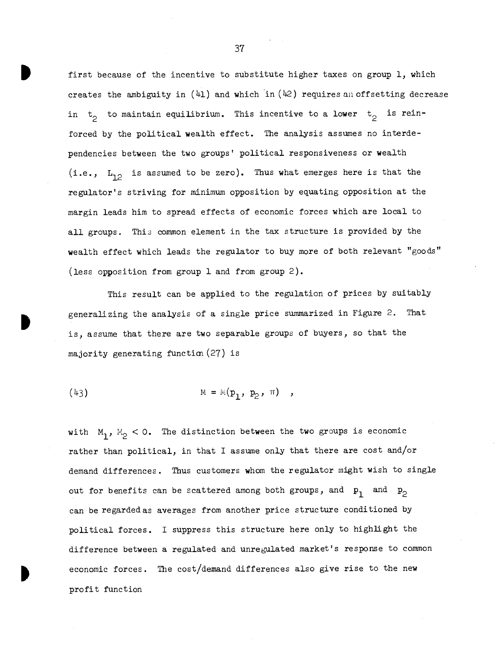first because of the incentive to substitute higher taxes on group 1, which creates the ambiguity in (41) and which in (42) requires an offsetting decrease in t<sub>2</sub> to maintain equilibrium. This incentive to a lower t<sub>2</sub> is reinforced by the political wealth effect. The analysis assumes no interdependencies between the two groups' political responsiveness or wealth (i.e.,  $L_{12}$  is assumed to be zero). Thus what emerges here is that the regulator's striving for minimum opposition by equating opposition at the margin leads him to spread effects of economic forces which are local to all groups. This common element in the tax structure is provided by the wealth effect which leads the regulator to buy more of both relevant "goods" (less opposition from group 1 and from group 2).

This result can be applied to the regulation of prices by suitably phis, assume that there are two separable groups of buyers, so that the generalizing the analysis of a single price summarized in Figure 2. That majority generating functim (27) is

(43) 
$$
M = M(p_1, p_2, \pi)
$$

with  $M_1$ ,  $M_2 < 0$ . The distinction between the two groups is economic rather than political, in that I assume only that there are cost and/or demand differences. Thus customers whom the regulator might wish to single out for benefits can be scattered among both groups, and  $p_1$  and  $p_2$ can be regarded as averages from another price structure conditioned by political forces. I suppress this structure here only to highlight the difference between a regulated and unregulated market's response to common economic forces. The cost/demand differences also give rise to the new profit function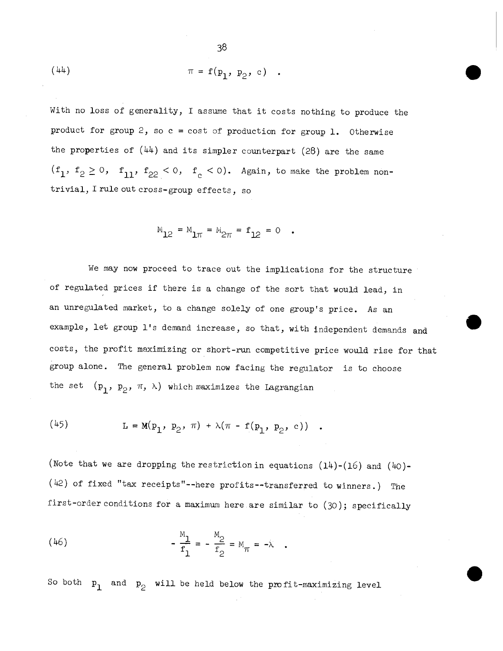(44) 
$$
\pi = f(p_1, p_2, c)
$$
.

With no loss of generality, I assume that it costs nothing to produce the product for group  $2$ , so  $c = cost$  of production for group 1. Otherwise the properties of  $(44)$  and its simpler counterpart (28) are the same  $(f_1, f_2 \ge 0, f_{11}, f_{22} < 0, f_c < 0)$ . Again, to make the problem nontrivial, I rule out cross—group effects, so

$$
M_{12} = M_{1\pi} = M_{2\pi} = f_{12} = 0
$$
.

We may now proceed to trace out the implications for the structure of regulated prices if there is a change of the sort that would lead, in an unregulated market, to a change solely of one group's price. As an example, let group l's demand increase, so that, with independent demands and costs, the profit maximizing or short-run competitive price would rise for that group alone. The general problem now facing the regulator is to choose the set  $(p_1, p_2, \pi, \lambda)$  which maximizes the Lagrangian

(45) 
$$
L = M(p_1, p_2, \pi) + \lambda(\pi - f(p_1, p_2, c))
$$

(Note that we are dropping the restriction in equations  $(14)-(16)$  and  $(40)$ - $(42)$  of fixed "tax receipts"--here profits--transferred to winners.) The first-order conditions for a maximum here are similar to (30); specifically

(46) 
$$
-\frac{M_1}{f_1} = -\frac{M_2}{f_2} = M_{\pi} = -\lambda.
$$

So both  $p_1$  and  $p_2$  will be held below the profit-maximizing level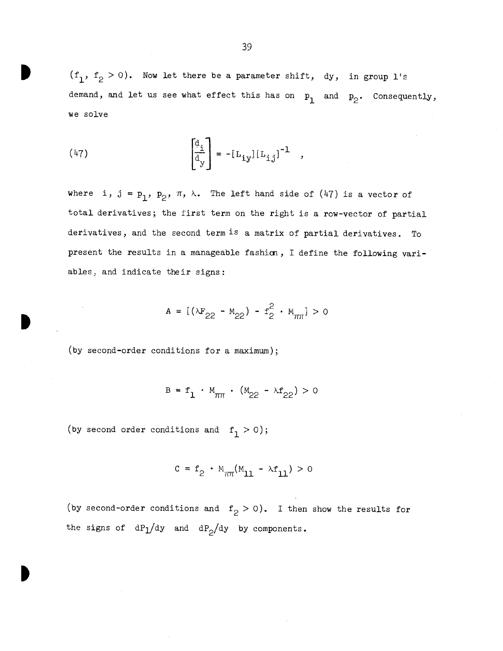$(r_1, r_2 > 0)$ . Now let there be a parameter shift, dy, in group l's demand, and let us see what effect this has on  $p_1$  and  $p_2$ . Consequently, we solve

(47) 
$$
\begin{bmatrix} \frac{d_i}{d_y} \end{bmatrix} = -[L_{iy}][L_{ij}]^{-1} ,
$$

where i,  $j = p_1, p_2, \pi, \lambda$ . The left hand side of (47) is a vector of total derivatives; the first term on the right is a row-vector of partial derivatives, and the second term is a matrix of partial derivatives. To present the results in a manageable fashim, I define the following variables, and indicate their signs:

$$
A = [(\lambda F_{22} - M_{22}) - f_2^2 \cdot M_{\pi\pi}] > 0
$$

(by second-order conditions for a maximum);

$$
B = f_1 \cdot M_{\pi\pi} \cdot (M_{22} - \lambda f_{22}) > 0
$$

(by second order conditions and  $f_1 > 0$ );

I

$$
c = f_2 \cdot M_{\text{HT}}(M_{11} - \lambda f_{11}) > 0
$$

(by second-order conditions and  $f<sub>2</sub> > 0$ ). I then show the results for the signs of  $dP_1/dy$  and  $dP_2/dy$  by components.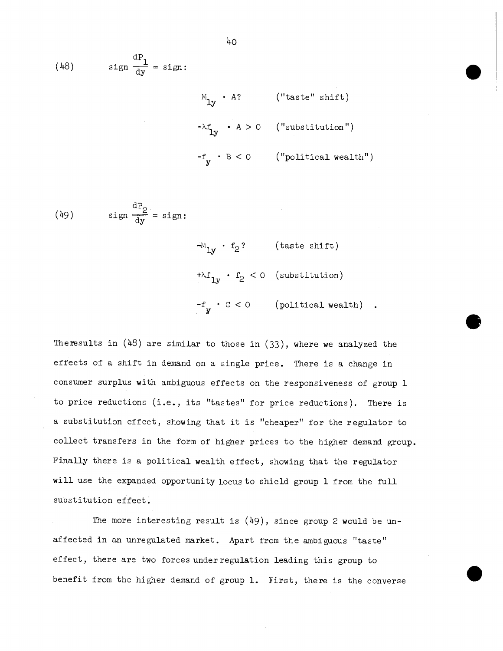(48) 
$$
\sin \frac{dP_1}{dy} = \sin \frac{P_1}{dy} \cdot A
$$
? ("taste" shift)

 $-\lambda f$  • A > 0 ("substitution")

 $-f<sub>v</sub>$  · B < 0 ("political wealth")

$$
(49) \t\t\t sign \frac{dP_2}{dy} = sign:
$$

 $-M_{1v}$   $f_2$ ? (taste shift)  $+ \lambda f_{1v} \cdot f_2 < 0$  (substitution)  $-f_{v} \cdot C < 0$  (political wealth)

.

Theresults in (48) are similar to those in (33), where we analyzed the effects of a shift in demand on a single price. There is a change in consumer surplus with ambiguous effects on the responsiveness of group 1 to price reductions (i.e., its "tastes" for price reductions). There is a substitution effect, showing that it is "cheaper" for the regulator to collect transfers in the form of higher prices to the higher demand group. Finally there is a political wealth effect, showing that the regulator will use the expanded opportunity locus to shield group 1 from the full substitution effect.

The more interesting result is  $(49)$ , since group 2 would be unaffected in an unregulated market. Apart from the ambiguous "taste" effect, there are two forces under regulation leading this group to benefit from the higher demand of group 1. First, there is the converse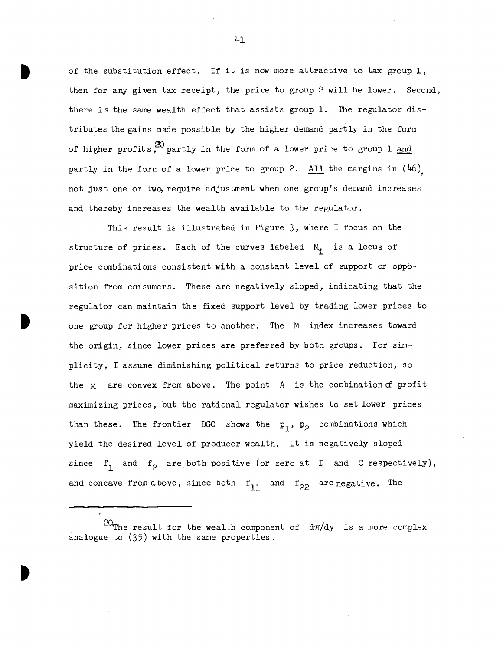of the substitution effect. If it is now more attractive to tax group 1, then for any given tax receipt, the price to group 2 will be lower. Second, there is the same wealth effect that assists group 1. The regulator distributes the gains made possible by the higher demand partly in the form of higher profits,  $20$  partly in the form of a lower price to group 1 and partly in the form of a lower price to group 2. All the margins in  $(46)$ . not just one or two require adjustment when one group's demand increases and thereby increases the wealth available to the regulator.

This result is illustrated in Figure 3, where I focus on the structure of prices. Each of the curves labeled  $M_i$  is a locus of price combinations consistent with a constant level of support or opposition from consumers. These are negatively sloped, indicating that the regulator can maintain the fixed support level by trading lower prices to one group for higher prices to another. The  $M$  index increases toward the origin, since lower prices are preferred by both groups. For  $sim$ plicity, I assume diminishing political returns to price reduction, so the  $M$  are convex from above. The point A is the combination of profit maximizing prices, but the rational regulator wishes to set lower prices than these. The frontier DGC shows the  $p_1$ ,  $p_2$  combinations which yield the desired level of producer wealth. It is negatively sloped since  $f_1$  and  $f_2$  are both positive (or zero at D and C respectively), and concave from above, since both  $f_{11}$  and  $f_{22}$  are negative. The

I

 $20$ The result for the wealth component of  $d\pi/dy$  is a more complex analogue to (35) with the same properties.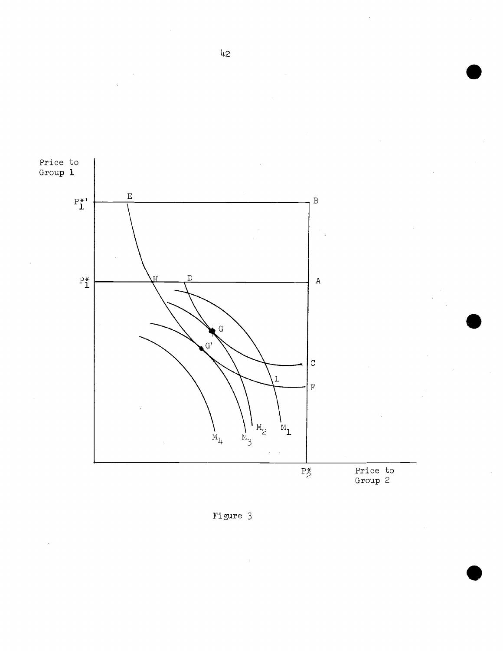



 $42$ 

.

.

.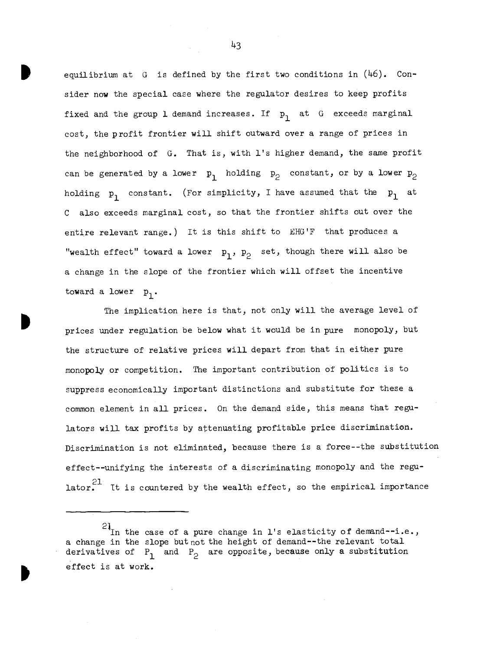equilibrium at G is defined by the first two conditions in  $(46)$ . Consider now the special case where the regulator desires to keep profits fixed and the group 1 demand increases. If  $p_1$  at G exceeds marginal cost, the profit frontier will shift outward over a range of prices in the neighborhood of G. That is, with l's higher demand, the same profit can be generated by a lower  $p_1$  holding  $p_2$  constant, or by a lower  $p_2$ holding  $p_1$  constant. (For simplicity, I have assumed that the  $p_1$  at C also exceeds marginal cost, so that the frontier shifts out over the entire relevant range.) It is this shift to EHG'F that produces a "wealth effect" toward a lower  $p_1$ ,  $p_2$  set, though there will also be a change in the slope of the frontier which will offset the incentive toward a lower  $p_1$ .

The implication here is that, not only will the average level of prices under regulation be below what it would be in pure monopoly, but the structure of relative prices will depart from that in either pure monopoly or competition. The important contribution of politics is to suppress economically important distinctions and substitute for these a common element in all prices. On the demand side, this means that regulators will tax profits by atenuating profitable price discrimination. Discrimination is not eliminated, because there is a force--the substitution effect--unifying the interests of a discriminating monopoly and the regulator. It is countered by the wealth effect, so the empirical importance

 $43.$ 

 $2^1$ <sub>In</sub> the case of a pure change in l's elasticity of demand--i.e., a change in the slope but not the height of demand--the relevant total derivatives of  $P_1$  and  $P_2$  are opposite, because only a substitution effect is at work.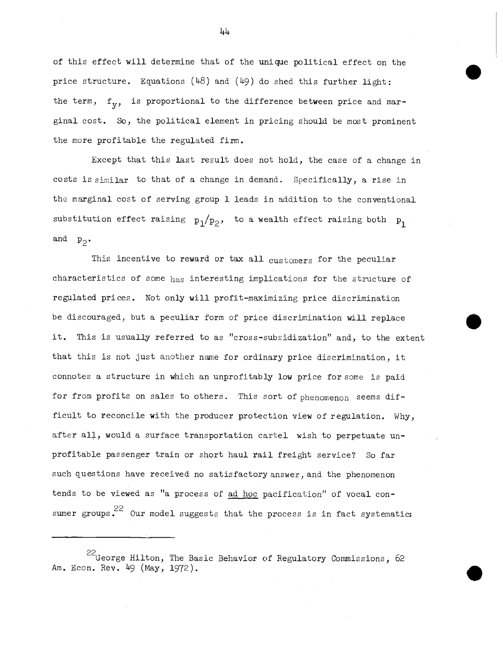of this effect will determine that of the unique political effect on the price structure. Equations  $(48)$  and  $(49)$  do shed this further light: the term,  $f_{v}$ , is proportional to the difference between price and marginal cost. So, the political element in pricing should be most prominent the more profitable the regulated firm.

Except that this last result does not hold, the case of a change in costs is similar to that of a change in demand. Specifically, a rise in the marginal cost of serving group 1 leads in addition to the conventional substitution effect raising  $p_1/p_2$ , to a wealth effect raising both  $\,$   $p_1^{}$   $\,$ and  $p_0$ .

This incentive to reward or tax all customers for the peculiar characteristics of some has interesting implications for the structure of regulated prices. Not only will profit-maximizing price discrimination be discouraged, but a peculiar form of price discrimination will replace it. This is usually referred to as "cross-subsidization" and, to the extent that this is not just another name for ordinary price discrimination, it connotes a structure in which an unprofitably low price for some is paid for from profits on sales to others. This sort of phenomenon seems difficult to reconcile with the producer protection view of regulation. Why, after all, would a surface transportation cartel wish to perpetuate unprofitable passenger train or short haul rail freight service? So far such questions have received no satisfactory answer, and the phenomenon tends to be viewed as "a process of ad hoc pacification' of vocal consumer groups.  $22$  Our model suggests that the process is in fact systematic:

 $^{22}$ George Hilton, The Basic Behavior of Regulatory Commissions, 62 Am. Econ. Rev. 49 (May, 1972).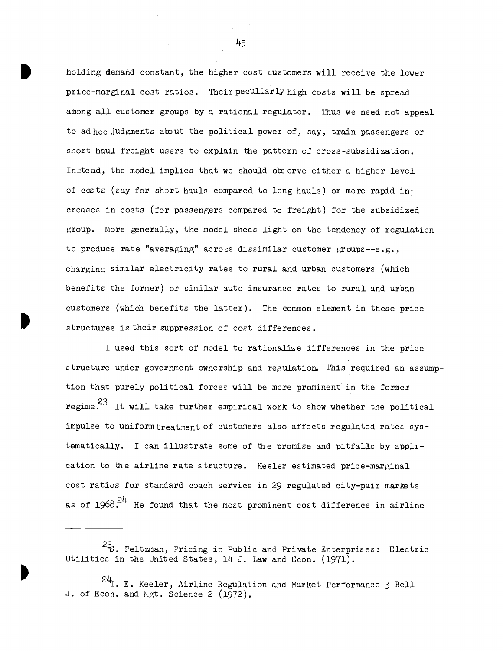holding demand constant, the higher cost customers will receive the lower price-marginal cost ratios. Their peculiarly high costs will be spread among all customer groups by a rational regulator. Thus we need not appeal to adhoc judgments about the political power of, say, train passengers or short haul freight users to explain the pattern of cross-subsidization. Instead, the model implies that we should observe either a higher level of costs (say for short hauls compared to long hauls) or more rapid increases in costs (for passengers compared to freight) for the subsidized group. More generally, the model sheds light on the tendency of regulation to produce rate "averaging" across dissimilar customer groups--e.g., charging similar electricity rates to rural and urban customers (which benefits the former) or similar auto insurance rates to rural and urban customers (which benefits the latter). The common element in these price structures is their suppression of cost differences.

I used this sort of model to rationalize differences in the price structure under government ownership and regulation. This required an assumption that purely political forces will be more prominent in the former regime.<sup>23</sup> It will take further empirical work to show whether the political impulse to uniform treatment of customers also affects regulated rates systematically. I can illustrate some of the promise and pitfalls by application to the airline rate structure. Keeler estimated price-marginal cost ratios for standard coach service in 29 regulated city-pair markets as of  $1968$ . He found that the most prominent cost difference in airline

45.

<sup>2&#</sup>x27;3. Peltzman, Pricing in Public and Private Enterprises: Electric Utilities in the United States, 14 J. Law and Econ. (1971).

 $24$ T. E. Keeler, Airline Regulation and Market Performance 3 Bell J. of Econ. and Mgt. Science  $2(1972)$ .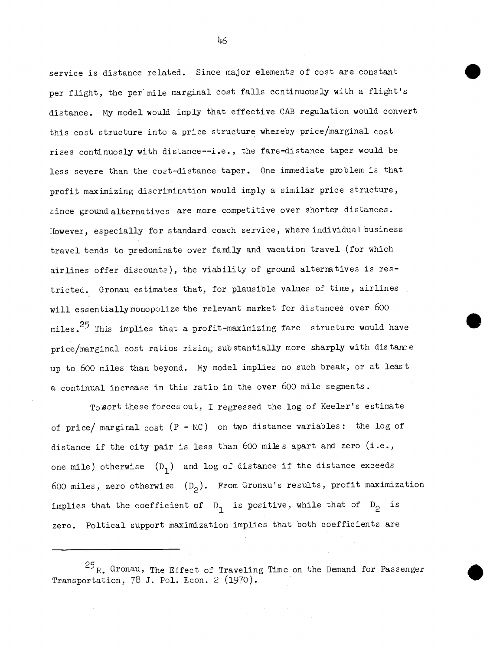service is distance related. Since major elements of cost are constant per flight, the per mile marginal cost falls continuously with a flight's distance. My model would imply that effective CAB regulation would convert this cost structure into a price structure whereby price/marginal cost rises continuosly with distance--i.e., the fare-distance taper would be less severe than the cost-distance taper. One immediate problem is that profit maximizing discrimination would imply a similar price structure, since ground alternatives are more competitive over shorter distances. However, especially for standard coach service, where individual business travel tends to predominate over family and vacation travel (for which airlines offer discounts), the viability of ground altermtives is restricted. Gronau estimates that, for plausible values of time, airlines will essentiallymonopolize the relevant market for distances over 600 miles.<sup>25</sup> This implies that a profit-maximizing fare structure would have price/marginal cost ratios rising substantially more sharply with distance up to 600 miles than beyond. My model implies no such break, or at least a continual increase in this ratio in the over  $600$  mile segments.

To sort these forces out, I regressed the log of Keeler's estimate of price/ marginal cost  $(P - MC)$  on two distance variables: the log of distance if the city pair is less than 6oo miles apart and zero (i.e., one mile) otherwise  $(D_1)$  and log of distance if the distance exceeds 600 miles, zero otherwise  $(D_2)$ . From Gronau's results, profit maximization implies that the coefficient of  $D_1$  is positive, while that of  $D_2$  is zero. Poltical support maximization implies that both coefficients are

 $^{17}$ R. Gronau, The Effect of Traveling Time on the Demand for Passenger Transportation, 78 J. Pol. Econ. 2 (1910).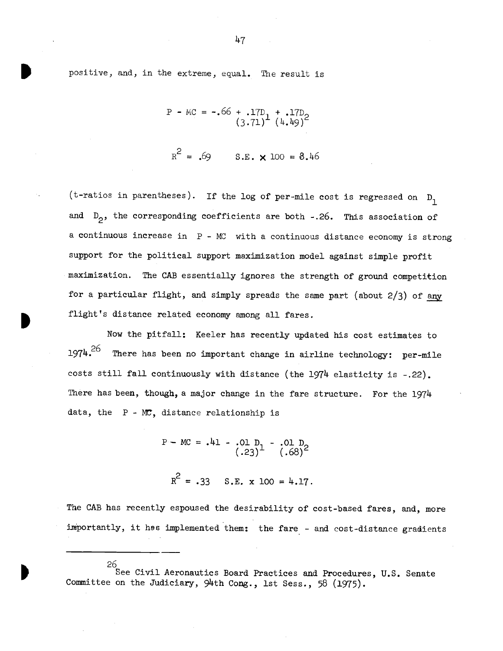positive, and, in the extreme, equal. The result is

$$
P - MC = -.66 + .17D_1 + .17D_2
$$
  
(3.71)<sup>1</sup> (4.49)<sup>2</sup>

$$
R^2 = .69
$$
 S.E. x 100 = 8.46

(t-ratios in parentheses). If the log of per-mile cost is regressed on  $D_1$ and  $D_2$ , the corresponding coefficients are both -.26. This association of a continuous increase in P - MC with a continuous distance economy is strong support for the political support maximization model against simple profit maximization. The CAB essentially ignores the strength of ground competition for a particular flight, and simply spreads the same part (about 2/3) of flight's distance related economy among all fares.

Now the pitfall: Keeler has recently updated his cost estimates to  $1974.^{26}$  There has been no important change in airline technology: per-mile costs still fall continuously with distance (the 1974 elasticity is  $-.22$ ). There has been, though, a major change in the fare structure. For the 1974 data, the  $P - MC$ , distance relationship is

> $P - MC = .41 - .01 D_1 - .01 D_2$  $( .23)$   $( .68)$

$$
R^2 = .33
$$
 S.E. x 100 = 4.17.

The CAB has recently espoused the desirability of cost-based fares, and, more importantly, it hes implemented them: the fare - and cost-distance gradients

26 See Civil Aeronautics Board Practices and Procedures, U.S. Senate Committee on the Judiciary, 94th Cong., 1st Sess., 58 (1975).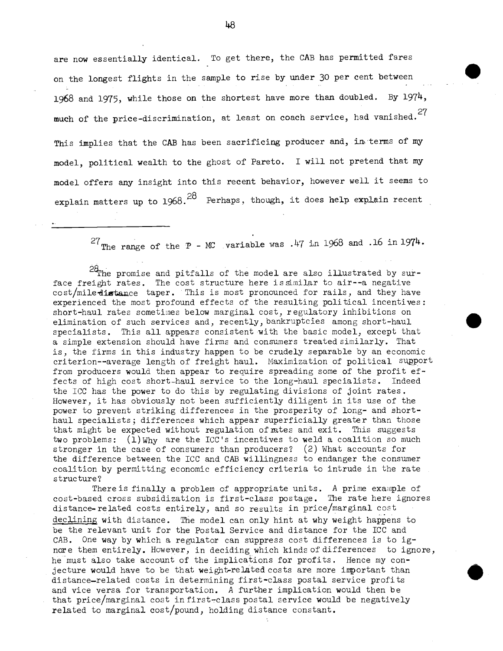are now essentially identical. To get there, the CAB has permitted fares on the longest flights in the sample to rise by under 30 per cent between 1968 and 1975, while those on the shortest have more than doubled. By  $1974$ . much of the price-discrimination, at least on coach service, had vanished.<sup>27</sup> This implies that the CAB has been sacrificing producer and, in terms of my model, political wealth to the ghost of Pareto. I will not pretend that my model offers any insight into this recent behavior, however well it seems to explain matters up to 1968.  $^{28}$  Perhaps, though, it does help explain recent

 $27$ The range of the P - MC variable was .47 in 1968 and .16 in 1974.

 $28$ The promise and pitfalls of the model are also illustrated by surface freight rates. The cost structure here issimilar to air--a negative  $cost/mile$ distance taper. This is most pronounced for rails, and they have experienced the most profound effects of the resulting political incentives: short-haul rates sometimes below marginal cost, regulatory inhibitions on elimination of such services and, recently, bankruptcies among short-haul specialists. This all appears consistent with the basic model, except that a simple extension should have firms and consumers treated similarly. That is, the firms in this industry happen to be crudely separable by an economic criterion--average length of freight haul. Maximization of political support from producers would then appear to require spreading some of the profit effects of high cost short.-haul service to the long-haul specialists. Indeed the ICC has the power to do this by regulating divisions of joint rates. However, it has obviously not been sufficiently diligent in its use of the power to prevent striking differences in the prosperity of long- and bhorthaul specialists; differences which appear superficially greater than those that might be expected without regulation of rates and exit. This suggests two problems: (1) Why are the ICC's incentives to weld a coalition so much stronger in the case of consumers than producers? (2) What accounts for the difference between the ICC and CAB willingness to endanger the consumer coalition by permitting economic efficiency criteria to intrude in the rate structure?

There is finally a problem of appropriate units. A prime example of cost-based cross subsidization is first-class postage. The rate here ignores distance-related costs entirely, and so results in price/marginal cost declining with distance. The model can only hint at why weight happens to be the relevant unit for the Postal Service and distance for the ICC and  $CAB.$  One way by which a regulator can suppress cost differences is to ignore them entirely. However, in deciding which kinds of differences to ignore, he must also take account of the implications for profits. Hence my conjecture would have to be that weight-related costs are more important than distance—related costs in determining first—class postal service profits and vice versa for transportation. A further implication would then be that price/marginal cost in first-class postal service would be negatively related to marginal cost/pound, holding distance constant.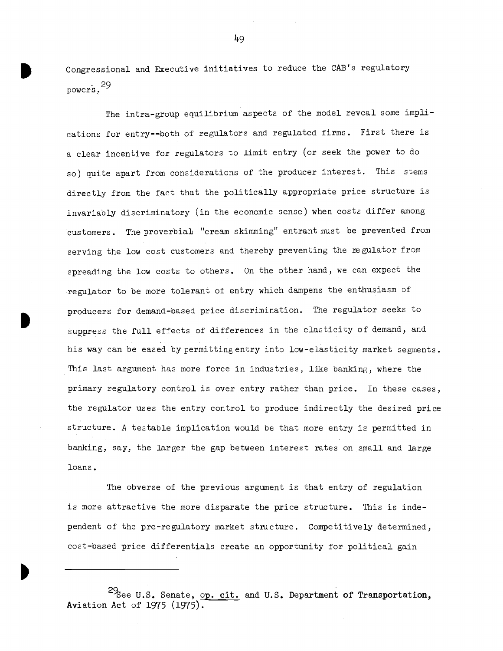Congressional and Executive initiatives to reduce the CAB's regulatory 29 powers.

The intra-group equilibrium aspects of the model reveal some implications for entry--both of regulators and regulated firms. First there is a clear incentive for regulators to limit entry (or seek the power to do so) quite apart from considerations of the producer interest. This stems directly from the fact that the politically appropriate price structure is invariably discriminatory (in the economic sense) when costs differ among customers. The proverbial "cream skimming" entrant must be prevented from serving the low cost customers and thereby preventing the regulator from spreading the low costs to others. On the other hand, we can expect the regulator to be more tolerant of entry which dampens the enthusiasm of suppress the full effects of differences in the elasticity of demand, and producers for demand-based price discrimination. The regulator seeks to his way can be eased by permitting entry into low-elasticity market segments. This last argument has more force in industries, like banking, where the primary regulatory control is over entry rather than price. In these cases, the regulator uses the entry control to produce indirectly the desired price structure. A testable implication would be that more entry is permitted in banking, say, the larger the gap between interest rates on small and large loans.

The obverse of the previous argument is that entry of regulation is more attractive the more disparate the price structure. This is independent of the pre-regulatory market stmcture. Competitively determined, cost-based price differentials create an opportunity for political gain

 $^{29}$ See U.S. Senate, op. cit. and U.S. Department of Transportation, Aviation Act of 1975 (1975).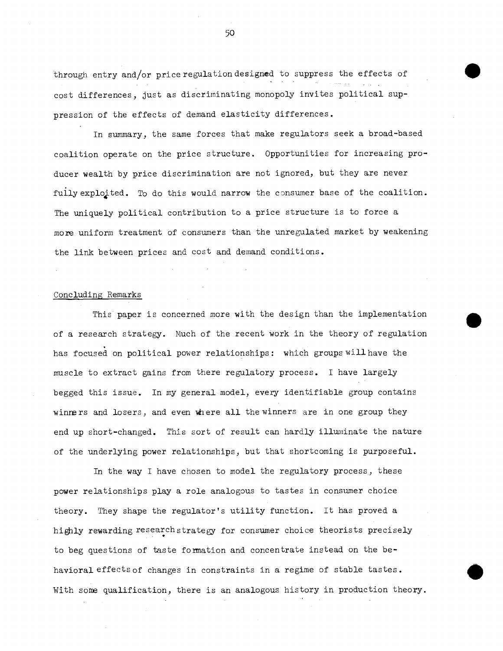through entry and/or price regulation designed to suppress the effects of cost differences, just as discriminating monopoly invites political suppression of the effects of demand elasticity differences.

In summary, the same forces that make regulators seek a broad-based coalition operate on the price structure. Opportunities for increasing producer wealth by price discrimination are not ignored, but they are never fully exploited. To do this would narrow the consumer base of the coalition. The uniquely political contribution to a price structure is to force a more uniform treatment of consumers than the unregulated market by weakening the link between prices and cost and demand conditions.

## Concluding Remarks

This paper is concerned more with the design than the implementation of a research strategy. Much of the recent work in the theory of regulation has focused on political power relationships: which groups will have the muscle to extract gains from there regulatory process. I have largely begged this issue. In my general model, every identifiable group contains winners and losers, and even where all the winners are in one group they end up short-changed. This sort of result can hardly illuminate the nature of the underlying power relationships, but that shortcoming is purposeful.

In the way I have chosen to model the regulatory process, these power relationships play a role analogous to tastes in consumer choice theory. They shape the regulator's utility function. It has proved a highly rewarding research strategy for consumer choice theorists precisely to beg questions of taste fonnation and concentrate instead on the behavioral effects of changes in constraints in a regime of stable tastes. With some qualification, there is an analogous history in production theory.